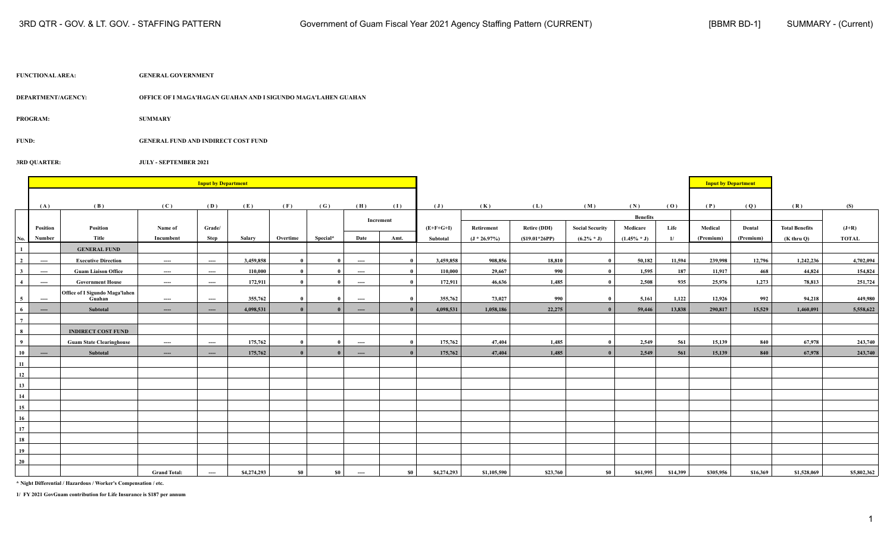| <b>FUNCTIONAL AREA:</b> | <b>GENERAL GOVERNMENT</b> |
|-------------------------|---------------------------|
|                         |                           |

**3RD QUARTER: JULY - SEPTEMBER 2021**

**DEPARTMENT/AGENCY: OFFICE OF I MAGA'HAGAN GUAHAN AND I SIGUNDO MAGA'LAHEN GUAHAN**

**PROGRAM: SUMMARY**

**FUND: GENERAL FUND AND INDIRECT COST FUND**

|                         |                                          |                                       |                     | <b>Input by Department</b> |               |              |              |                          |              |                |                |                 |                        |                             |          | <b>Input by Department</b> |           |                       |              |
|-------------------------|------------------------------------------|---------------------------------------|---------------------|----------------------------|---------------|--------------|--------------|--------------------------|--------------|----------------|----------------|-----------------|------------------------|-----------------------------|----------|----------------------------|-----------|-----------------------|--------------|
|                         |                                          |                                       |                     |                            |               |              |              |                          |              |                |                |                 |                        |                             |          |                            |           |                       |              |
|                         | (A)                                      | (B)                                   | (C)                 | (D)                        | (E)           | (F)          | (G)          | (H)                      | (1)          | $(\mathbf{J})$ | (K)            | (L)             | (M)                    | (N)                         | (0)      | (P)                        | (Q)       | (R)                   | (S)          |
|                         | Position                                 | Position                              | Name of             | Grade/                     |               |              |              |                          | Increment    | $(E+F+G+I)$    | Retirement     | Retire (DDI)    | <b>Social Security</b> | <b>Benefits</b><br>Medicare | Life     | Medical                    | Dental    | <b>Total Benefits</b> | $(J+R)$      |
| No.                     | Number                                   | Title                                 | Incumbent           | Step                       | <b>Salary</b> | Overtime     | Special*     | Date                     | Amt.         | Subtotal       | $(J * 26.97%)$ | $(S19.01*26PP)$ | $(6.2\% * J)$          | $(1.45\% * J)$              | 1/       | (Premium)                  | (Premium) | $(K$ thru $Q$ )       | <b>TOTAL</b> |
| $\mathbf{1}$            |                                          | <b>GENERAL FUND</b>                   |                     |                            |               |              |              |                          |              |                |                |                 |                        |                             |          |                            |           |                       |              |
| $\overline{\mathbf{2}}$ | $\hspace{0.05cm} \ldots \hspace{0.05cm}$ | <b>Executive Direction</b>            | ----                | $-\!-\!$                   | 3,459,858     | - 0          | $\mathbf{0}$ | $\hspace{0.05cm} \ldots$ | $\mathbf{0}$ | 3,459,858      | 908,856        | 18,810          | $\mathbf{0}$           | 50,182                      | 11,594   | 239,998                    | 12,796    | 1,242,236             | 4,702,094    |
| $\mathbf{3}$            | $-\!-\!$                                 | <b>Guam Liaison Office</b>            | $\cdots$            | $\cdots$                   | 110,000       | - 0          |              | ----                     | $\bf{0}$     | 110,000        | 29,667         | 990             | $\mathbf{0}$           | 1,595                       | 187      | 11,917                     | 468       | 44,824                | 154,824      |
| $\overline{4}$          | $\hspace{0.05cm} \ldots \hspace{0.05cm}$ | <b>Government House</b>               | $---$               | ----                       | 172,911       | $\mathbf{0}$ | $\mathbf{0}$ | $---$                    | $\mathbf{0}$ | 172,911        | 46.636         | 1,485           | $\mathbf{0}$           | 2.508                       | 935      | 25,976                     | 1,273     | 78,813                | 251,724      |
|                         |                                          | <b>Office of I Sigundo Maga'lahen</b> |                     |                            |               |              |              |                          |              |                |                |                 |                        |                             |          |                            |           |                       |              |
| $\sqrt{5}$              | $\hspace{0.05cm} \ldots \hspace{0.05cm}$ | Guahan                                | ----                | $\hspace{0.05cm}\ldots$    | 355,762       | $\mathbf{0}$ | $\mathbf{0}$ | $---$                    | $\mathbf{0}$ | 355,762        | 73,027         | 990             | $\mathbf{0}$           | 5,161                       | 1,122    | 12,926                     | 992       | 94,218                | 449,980      |
| - 6                     | $---$                                    | Subtotal                              | $---$               | $\cdots$                   | 4,098,531     | $\mathbf{r}$ |              | $-$                      | $\mathbf{a}$ | 4,098,531      | 1,058,186      | 22,275          | $\theta$               | 59,446                      | 13,838   | 290,817                    | 15,529    | 1,460,091             | 5,558,622    |
| $7\phantom{.0}$         |                                          |                                       |                     |                            |               |              |              |                          |              |                |                |                 |                        |                             |          |                            |           |                       |              |
| $\frac{8}{ }$           |                                          | <b>INDIRECT COST FUND</b>             |                     |                            |               |              |              |                          |              |                |                |                 |                        |                             |          |                            |           |                       |              |
| $\overline{9}$          |                                          | <b>Guam State Clearinghouse</b>       | $---$               | ----                       | 175,762       | $\mathbf{a}$ | $\mathbf{0}$ | $---$                    | $\mathbf{0}$ | 175,762        | 47,404         | 1,485           | $\mathbf{0}$           | 2,549                       | 561      | 15,139                     | 840       | 67,978                | 243,740      |
| 10                      | $\cdots$                                 | Subtotal                              | $\cdots$            | $\cdots$                   | 175,762       | $\mathbf{0}$ |              | $\cdots$                 | $\mathbf{0}$ | 175,762        | 47,404         | 1.485           | $\theta$               | 2.549                       | 561      | 15.139                     | 840       | 67,978                | 243,740      |
| 11                      |                                          |                                       |                     |                            |               |              |              |                          |              |                |                |                 |                        |                             |          |                            |           |                       |              |
| 12                      |                                          |                                       |                     |                            |               |              |              |                          |              |                |                |                 |                        |                             |          |                            |           |                       |              |
| 13                      |                                          |                                       |                     |                            |               |              |              |                          |              |                |                |                 |                        |                             |          |                            |           |                       |              |
| 14                      |                                          |                                       |                     |                            |               |              |              |                          |              |                |                |                 |                        |                             |          |                            |           |                       |              |
| 15                      |                                          |                                       |                     |                            |               |              |              |                          |              |                |                |                 |                        |                             |          |                            |           |                       |              |
| 16                      |                                          |                                       |                     |                            |               |              |              |                          |              |                |                |                 |                        |                             |          |                            |           |                       |              |
| 17                      |                                          |                                       |                     |                            |               |              |              |                          |              |                |                |                 |                        |                             |          |                            |           |                       |              |
| 18                      |                                          |                                       |                     |                            |               |              |              |                          |              |                |                |                 |                        |                             |          |                            |           |                       |              |
| 19                      |                                          |                                       |                     |                            |               |              |              |                          |              |                |                |                 |                        |                             |          |                            |           |                       |              |
| 20                      |                                          |                                       |                     |                            |               |              |              |                          |              |                |                |                 |                        |                             |          |                            |           |                       |              |
|                         |                                          |                                       | <b>Grand Total:</b> | ----                       | \$4,274,293   | <b>SO</b>    | $\$0$        | $\hspace{0.05cm} \ldots$ | <b>SO</b>    | \$4,274,293    | \$1,105,590    | \$23,760        | \$0                    | \$61,995                    | \$14,399 | \$305,956                  | \$16,369  | \$1,528,069           | \$5,802,362  |

**\* Night Differential / Hazardous / Worker's Compensation / etc.**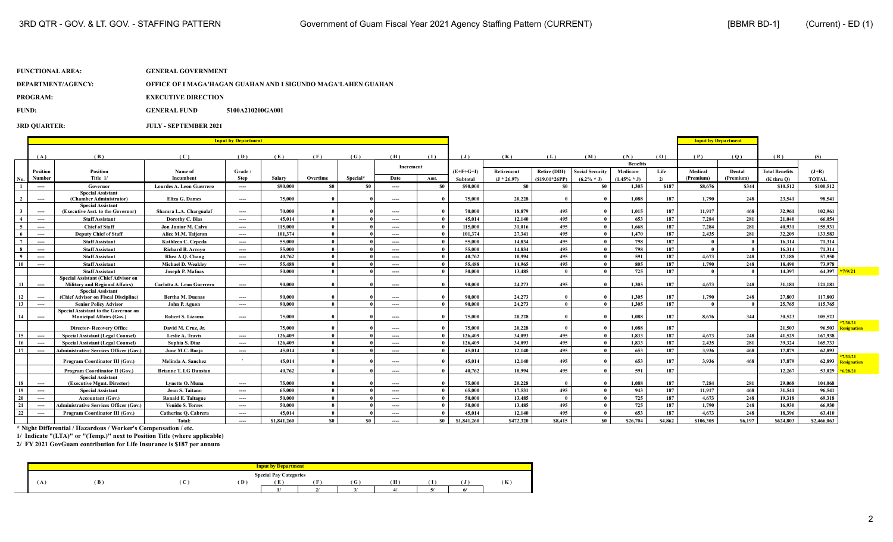### **DEPARTMENT/AGENCY: OFFICE OF I MAGA'HAGAN GUAHAN AND I SIGUNDO MAGA'LAHEN GUAHAN**

**PROGRAM:** EXECUTIVE DIRECTION

**FUND: GENERAL FUND 5100A210200GA001**

**3RD QUARTER: JULY - SEPTEMBER 2021**

|                         |                                          |                                                                  |                                 | <b>Input by Department</b> |             |              |          |           |       |             |               |                     |                        |                 |         | <b>Input by Department</b> |                |                       |              |                                    |
|-------------------------|------------------------------------------|------------------------------------------------------------------|---------------------------------|----------------------------|-------------|--------------|----------|-----------|-------|-------------|---------------|---------------------|------------------------|-----------------|---------|----------------------------|----------------|-----------------------|--------------|------------------------------------|
|                         |                                          |                                                                  |                                 |                            |             |              |          |           |       |             |               |                     |                        |                 |         |                            |                |                       |              |                                    |
|                         | (A)                                      | (B)                                                              | (C)                             | (D)                        | (E)         | (F)          | (G)      | (H)       | (1)   | (J)         | (K)           | (L)                 | (M)                    | (N)             | (0)     | (P)                        | (0)            | (R)                   | (S)          |                                    |
|                         |                                          |                                                                  |                                 |                            |             |              |          | Increment |       |             |               |                     |                        | <b>Benefits</b> |         |                            |                |                       |              |                                    |
|                         | Position                                 | <b>Position</b>                                                  | Name of                         | Grade /                    |             |              |          |           |       | $(E+F+G+I)$ | Retirement    | <b>Retire (DDI)</b> | <b>Social Security</b> | Medicare        | Life    | Medical                    | Dental         | <b>Total Benefits</b> | $(J+R)$      |                                    |
| No.                     | Number                                   | Title 1/                                                         | Incumbent                       | <b>Step</b>                | Salary      | Overtime     | Special* | Date      | Amt.  | Subtotal    | $(J * 26.97)$ | $(S19.01*26PP)$     | $(6.2\% * J)$          | $(1.45\% * J)$  | 2l      | (Premium)                  | (Premium)      | $(K$ thru $O$ )       | <b>TOTAL</b> |                                    |
| $\blacksquare$          | $---$                                    | Governor                                                         | <b>Lourdes A. Leon Guerrero</b> | $---$                      | \$90,000    | \$0          | - \$0    | ----      | - \$0 | \$90,000    | \$0           | \$0                 | - \$0                  | 1,305           | \$187   | \$8,676                    | \$344          | \$10,512              | \$100,512    |                                    |
| $\overline{2}$          |                                          | <b>Special Assistant</b><br>(Chamber Administrator)              | Eliza G. Dames                  |                            | 75,000      |              |          |           |       | 75,000      | 20,228        |                     |                        | 1,088           | 187     | 1,790                      | 248            | 23,541                | 98.541       |                                    |
|                         | $---$                                    | <b>Special Assistant</b>                                         |                                 | $---$                      |             |              |          | ----      |       |             |               |                     |                        |                 |         |                            |                |                       |              |                                    |
| $\overline{\mathbf{3}}$ | $---$                                    | (Executive Asst. to the Governor)                                | Shamra L.A. Chargualaf          | $---$                      | 70,000      |              |          | ----      |       | 70,000      | 18.879        | 495                 |                        | 1,015           | 187     | 11.917                     | 468            | 32.961                | 102.961      |                                    |
| $\overline{4}$          | $---$                                    | <b>Staff Assistant</b>                                           | Dorothy C. Blas                 | $---$                      | 45,014      | $\theta$     |          | ----      |       | 45.014      | 12.140        | 495                 |                        | 653             | 187     | 7,284                      | 281            | 21.040                | 66.054       |                                    |
| $\sqrt{5}$              | $---$                                    | <b>Chief of Staff</b>                                            | Jon Junior M. Calvo             | $\cdots$                   | 115,000     | $\mathbf{0}$ |          | ----      |       | 115,000     | 31,016        | 495                 | $\mathbf{0}$           | 1,668           | 187     | 7,284                      | 281            | 40,931                | 155,931      |                                    |
| - 6                     | $\hspace{0.05cm} \ldots \hspace{0.05cm}$ | <b>Deputy Chief of Staff</b>                                     | Alice M.M. Taijeron             | $---$                      | 101,374     | $\theta$     |          | ----      |       | 101.374     | 27,341        | 495                 | $\mathbf{0}$           | 1,470           | 187     | 2.435                      | 281            | 32,209                | 133,583      |                                    |
| $7\overline{ }$         | $\hspace{0.05cm} \ldots \hspace{0.05cm}$ | <b>Staff Assistant</b>                                           | Kathleen C. Cepeda              | $\cdots$                   | 55,000      | $\theta$     |          | ----      |       | 55,000      | 14,834        | 495                 | $\theta$               | 798             | 187     | - 0                        | $\overline{0}$ | 16,314                | 71,314       |                                    |
| 8                       | $---$                                    | <b>Staff Assistant</b>                                           | <b>Richard B. Arrovo</b>        | $---$                      | 55,000      | $\theta$     |          | ----      |       | 55,000      | 14,834        | 495                 | $\theta$               | 798             | 187     | $\sqrt{ }$                 | $\mathbf{0}$   | 16.314                | 71,314       |                                    |
| $\mathbf{q}$            | $---$                                    | <b>Staff Assistant</b>                                           | Rhea A.O. Chang                 | $---$                      | 40,762      | $\theta$     |          | ----      |       | 40,762      | 10.994        | 495                 | $\theta$               | 591             | 187     | 4.673                      | 248            | 17.188                | 57,950       |                                    |
| 10                      | $---$                                    | <b>Staff Assistant</b>                                           | <b>Michael D. Weakley</b>       | $---$                      | 55,488      | $\theta$     |          | ----      |       | 55,488      | 14,965        | 495                 | $\theta$               | 805             | 187     | 1,790                      | 248            | 18.490                | 73,978       |                                    |
|                         |                                          | <b>Staff Assistant</b>                                           | Joseph P. Mafnas                |                            | 50,000      | $\theta$     |          | ----      |       | 50,000      | 13,485        | $\mathbf{a}$        | $\theta$               | 725             | 187     | $\theta$                   | $\overline{0}$ | 14.397                | 64.397       | 9/21                               |
|                         |                                          | Special Assistant (Chief Advisor on                              |                                 |                            |             |              |          |           |       |             |               |                     |                        |                 |         |                            |                |                       |              |                                    |
| -11                     | $---$                                    | <b>Military and Regional Affairs)</b>                            | Carlotta A. Leon Guerrero       | $---$                      | 90,000      |              |          | ----      |       | 90.000      | 24,273        | 495                 |                        | 1,305           | 187     | 4,673                      | 248            | 31,181                | 121,181      |                                    |
| 12                      | $---$                                    | <b>Special Assistant</b><br>(Chief Advisor on Fiscal Discipline) | <b>Bertha M. Duenas</b>         | $\qquad \qquad \cdots$     | 90,000      |              |          | ----      |       | 90,000      | 24,273        |                     |                        | 1,305           | 187     | 1,790                      | 248            | 27,803                | 117,803      |                                    |
| 13                      | $---$                                    | <b>Senior Policy Advisor</b>                                     | John P. Aguon                   | $---$                      | 90,000      | $\theta$     |          | ----      |       | 90,000      | 24,273        | $\mathbf{a}$        |                        | 1.305           | 187     | $\mathbf{0}$               | $\overline{ }$ | 25,765                | 115,765      |                                    |
|                         |                                          | Special Assistant to the Governor on                             |                                 |                            |             |              |          |           |       |             |               |                     |                        |                 |         |                            |                |                       |              |                                    |
| 14                      | $---$                                    | <b>Municipal Affairs (Gov.)</b>                                  | <b>Robert S. Lizama</b>         | $---$                      | 75,000      |              |          | ----      |       | 75,000      | 20,228        |                     |                        | 1,088           | 187     | 8,676                      | 344            | 30,523                | 105,523      |                                    |
|                         |                                          | <b>Director-Recovery Office</b>                                  | David M. Cruz, Jr.              |                            | 75,000      |              |          | ----      |       | 75,000      | 20,228        |                     |                        | 1.088           | 187     |                            |                | 21.503                | 96,503       | signation                          |
| 15                      | $---$                                    | <b>Special Assistant (Legal Counsel)</b>                         | Leslie A. Travis                | $---$                      | 126,409     | $\theta$     |          | ----      |       | 126,409     | 34,093        | 495                 |                        | 1,833           | 187     | 4.673                      | 248            | 41,529                | 167,938      |                                    |
| 16                      | $---$                                    | <b>Special Assistant (Legal Counsel)</b>                         | Sophia S. Diaz                  | $---$                      | 126,409     |              |          | ----      |       | 126.409     | 34.093        | 495                 |                        | 1,833           | 187     | 2,435                      | 281            | 39,324                | 165,733      |                                    |
| 17                      | $---$                                    | <b>Administrative Services Officer (Gov.)</b>                    | June M.C. Borja                 | $---$                      | 45,014      | $\mathbf{0}$ |          | ----      |       | 45,014      | 12.140        | 495                 |                        | 653             | 187     | 3.936                      | 468            | 17,879                | 62.893       |                                    |
|                         |                                          | Program Coordinator III (Gov.)                                   | Melinda A. Sanchez              |                            | 45,014      |              |          | ----      |       | 45,014      | 12,140        | 495                 |                        | 653             | 187     | 3,936                      | 468            | 17,879                | 62,893       | 1/31/21<br><mark>esignation</mark> |
|                         |                                          | Program Coordinator II (Gov.)                                    | <b>Brianne T. LG Dunstan</b>    |                            | 40.762      |              |          |           |       | 40.762      | 10.994        | 495                 |                        | 591             | 187     |                            |                | 12,267                | 53,029       | /28/21                             |
|                         |                                          | <b>Special Assistant</b>                                         |                                 |                            |             |              |          | ----      |       |             |               |                     |                        |                 |         |                            |                |                       |              |                                    |
| 18                      | $---$                                    | (Executive Mgmt, Director)                                       | Lynette O. Muna                 | $---$                      | 75,000      |              |          | ----      |       | 75,000      | 20,228        |                     |                        | 1.088           | 187     | 7.284                      | 281            | 29,068                | 104.068      |                                    |
| 19                      | $---$                                    | <b>Special Assistant</b>                                         | Jean S. Taitano                 | $---$                      | 65,000      | $\theta$     |          | ----      |       | 65.000      | 17,531        | 495                 |                        | 943             | 187     | 11.917                     | 468            | 31,541                | 96.541       |                                    |
| 20                      | $\cdots$                                 | <b>Accountant (Gov.)</b>                                         | <b>Ronald E. Taitague</b>       | $---$                      | 50.000      | $\theta$     |          | ----      |       | 50.000      | 13,485        | $\mathbf{0}$        |                        | 725             | 187     | 4.673                      | 248            | 19.318                | 69.318       |                                    |
| 21                      | $---$                                    | <b>Administrative Services Officer (Gov.)</b>                    | <b>Venido S. Torres</b>         | $---$                      | 50,000      | $\theta$     |          | ----      |       | 50,000      | 13,485        | 495                 |                        | 725             | 187     | 1,790                      | 248            | 16,930                | 66,930       |                                    |
| 22                      | $---$                                    | <b>Program Coordinator III (Gov.)</b>                            | Catherine O. Cabrera            | $---$                      | 45,014      | $\theta$     |          | ----      |       | 45.014      | 12,140        | 495                 |                        | 653             | 187     | 4,673                      | 248            | 18.396                | 63.410       |                                    |
|                         |                                          |                                                                  | Total:                          | $---$                      | \$1,841,260 | \$0          | \$0      | ----      | \$0   | \$1,841,260 | \$472,320     | \$8,415             | -80                    | \$26,704        | \$4,862 | \$106,305                  | S6.197         | \$624,803             | \$2,466,063  |                                    |

**\* Night Differential / Hazardous / Worker's Compensation / etc.**

**1/ Indicate "(LTA)" or "(Temp.)" next to Position Title (where applicable)**

|          |     |                 |     | <b>Input by Department</b>    |      |   |  |    |
|----------|-----|-----------------|-----|-------------------------------|------|---|--|----|
|          |     |                 |     | <b>Special Pay Categories</b> |      |   |  |    |
| $\bf{A}$ | (B) | $\sqrt{ }$<br>◡ | (D) | .                             | f Gʻ | Ή |  | n. |
|          |     |                 |     |                               |      |   |  |    |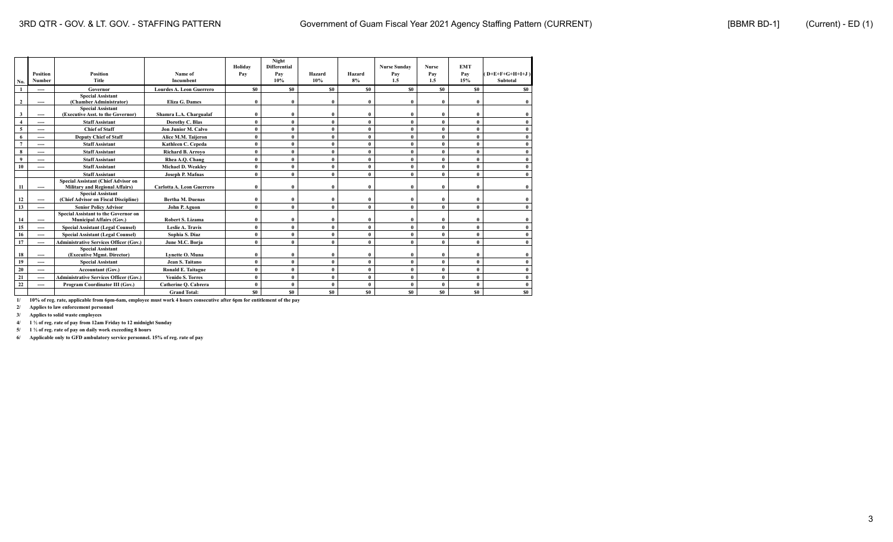| No.                 | <b>Position</b><br><b>Number</b> | <b>Position</b><br><b>Title</b>                                              | Name of<br>Incumbent      | Holidav<br>Pay | Night<br><b>Differential</b><br>Pay<br>10% | Hazard<br>10%  | Hazard<br>8% | <b>Nurse Sunday</b><br>Pay<br>1.5 | <b>Nurse</b><br>Pay<br>1.5 | <b>EMT</b><br>Pay<br>15% | $(D+E+F+G+H+I+J)$<br>Subtotal |
|---------------------|----------------------------------|------------------------------------------------------------------------------|---------------------------|----------------|--------------------------------------------|----------------|--------------|-----------------------------------|----------------------------|--------------------------|-------------------------------|
|                     | ----                             | Governor                                                                     | Lourdes A. Leon Guerrero  | \$0            | S0                                         | \$0            | \$0          | \$0                               | S <sub>0</sub>             | <b>SO</b>                | \$0                           |
| $\overline{2}$      | ----                             | <b>Special Assistant</b><br>(Chamber Administrator)                          | <b>Eliza G. Dames</b>     | $\mathbf{0}$   | 0                                          | 0              | $\theta$     | $\bf{0}$                          | $\mathbf{0}$               | $\sqrt{ }$               |                               |
| 3                   | ----                             | <b>Special Assistant</b><br>(Executive Asst. to the Governor)                | Shamra L.A. Chargualaf    | $\mathbf{0}$   | $\bf{0}$                                   |                | $\theta$     | 0                                 | $\mathbf{0}$               | $\mathbf{0}$             |                               |
| $\overline{\bf{4}}$ | ----                             | <b>Staff Assistant</b>                                                       | Dorothy C. Blas           | $\theta$       | $\mathbf{0}$                               | $\theta$       | $\theta$     | 0                                 | $\theta$                   | $\theta$                 |                               |
| 5                   | ----                             | <b>Chief of Staff</b>                                                        | Jon Junior M. Calvo       | $\theta$       | $\mathbf{0}$                               | 0              | $\mathbf{0}$ | $\mathbf{0}$                      | $\theta$                   | $\theta$                 |                               |
| 6                   | ----                             | <b>Deputy Chief of Staff</b>                                                 | Alice M.M. Taijeron       | ſ              | $\mathbf{0}$                               |                |              | 0                                 | $\mathbf{0}$               | $\theta$                 |                               |
| $\overline{ }$      | ----                             | <b>Staff Assistant</b>                                                       | Kathleen C. Cepeda        | $\theta$       | $\bf{0}$                                   | $\theta$       | $\theta$     | 0                                 | $\theta$                   | $\theta$                 |                               |
| 8                   | ----                             | <b>Staff Assistant</b>                                                       | <b>Richard B. Arrovo</b>  | $\theta$       | $\mathbf{0}$                               | 0              | $\mathbf{0}$ | $\mathbf{0}$                      | $\theta$                   | $\theta$                 |                               |
| $\bf{Q}$            | ----                             | <b>Staff Assistant</b>                                                       | Rhea A.O. Chang           | $\mathbf{0}$   | $\mathbf{0}$                               | $\theta$       | $\theta$     | $\bf{0}$                          | $\mathbf{0}$               | $\theta$                 |                               |
| 10                  | ----                             | <b>Staff Assistant</b>                                                       | Michael D. Weakley        | $\theta$       | $\bf{0}$                                   | $\theta$       | $\theta$     | $\mathbf{0}$                      | $\mathbf{0}$               | $\theta$                 |                               |
|                     |                                  | <b>Staff Assistant</b>                                                       | Joseph P. Mafnas          | $\mathbf{0}$   | $\mathbf{0}$                               | $\theta$       | $\theta$     | $\mathbf{0}$                      | $\theta$                   | $\theta$                 |                               |
| -11                 | ----                             | Special Assistant (Chief Advisor on<br><b>Military and Regional Affairs)</b> | Carlotta A. Leon Guerrero | ſ              | $\theta$                                   | 0              | $\theta$     | $\mathbf{0}$                      | 0                          | $\theta$                 | 0                             |
| 12                  | ----                             | <b>Special Assistant</b><br>(Chief Advisor on Fiscal Discipline)             | <b>Bertha M. Duenas</b>   | Ô              | $\theta$                                   | $\theta$       | $\theta$     | $\mathbf{0}$                      | $\mathbf{0}$               | $\theta$                 |                               |
| 13                  | $---$                            | <b>Senior Policy Advisor</b>                                                 | John P. Aguon             | $\mathbf{0}$   | $\mathbf{0}$                               | $\mathbf{0}$   | $\mathbf{0}$ | 0                                 | $\mathbf{0}$               | $\theta$                 |                               |
| 14                  | ----                             | Special Assistant to the Governor on<br><b>Municipal Affairs (Gov.)</b>      | <b>Robert S. Lizama</b>   |                | $\theta$                                   |                |              | 0                                 | $\mathbf{0}$               | $\sqrt{ }$               |                               |
| 15                  | $---$                            | <b>Special Assistant (Legal Counsel)</b>                                     | Leslie A. Travis          | $\theta$       | $\mathbf{0}$                               | $\theta$       | $\mathbf{0}$ | $\mathbf{0}$                      | $\theta$                   | $\theta$                 |                               |
| 16                  | ----                             | <b>Special Assistant (Legal Counsel)</b>                                     | Sophia S. Diaz            | $\theta$       | $\mathbf{0}$                               | 0              | $\mathbf{0}$ | $\mathbf{0}$                      | 0                          | $\theta$                 |                               |
| 17                  | ----                             | <b>Administrative Services Officer (Gov.)</b>                                | June M.C. Borja           | Ô              | $\bf{0}$                                   |                |              | 0                                 | $\theta$                   | $\theta$                 |                               |
| 18                  | ----                             | <b>Special Assistant</b><br>(Executive Mgmt. Director)                       | Lynette O. Muna           | $\mathbf{0}$   | $\mathbf{0}$                               | 0              | $\theta$     | 0                                 | $\mathbf{0}$               | $\mathbf{0}$             |                               |
| 19                  | $---$                            | <b>Special Assistant</b>                                                     | Jean S. Taitano           | $\mathbf{0}$   | $\bf{0}$                                   | $\theta$       | $\mathbf{0}$ | $\bf{0}$                          | $\theta$                   | $\theta$                 |                               |
| 20                  | ----                             | Accountant (Gov.)                                                            | Ronald E. Taitague        | $\mathbf{0}$   | $\mathbf{0}$                               | $\mathbf{0}$   | $\mathbf{0}$ | $\mathbf{0}$                      | $\mathbf{0}$               | $\theta$                 |                               |
| 21                  | ----                             | <b>Administrative Services Officer (Gov.)</b>                                | <b>Venido S. Torres</b>   | ſ              | $\mathbf{0}$                               |                |              | 0                                 | $\theta$                   | $\theta$                 |                               |
| 22                  | ----                             | Program Coordinator III (Gov.)                                               | Catherine O. Cabrera      | $\mathbf{0}$   | $\mathbf{0}$                               | $\theta$       | $\mathbf{0}$ | $\mathbf{0}$                      | $\theta$                   | $\theta$                 |                               |
|                     |                                  |                                                                              | <b>Grand Total:</b>       | <b>SO</b>      | S0                                         | S <sub>0</sub> | \$0          | \$0                               | \$0                        | S <sub>0</sub>           | S <sub>0</sub>                |

**2/ Applies to law enforcement personnel**

**3/ Applies to solid waste employees**

**4/ 1 ½ of reg. rate of pay from 12am Friday to 12 midnight Sunday**

**5/ 1 ½ of reg. rate of pay on daily work exceeding 8 hours**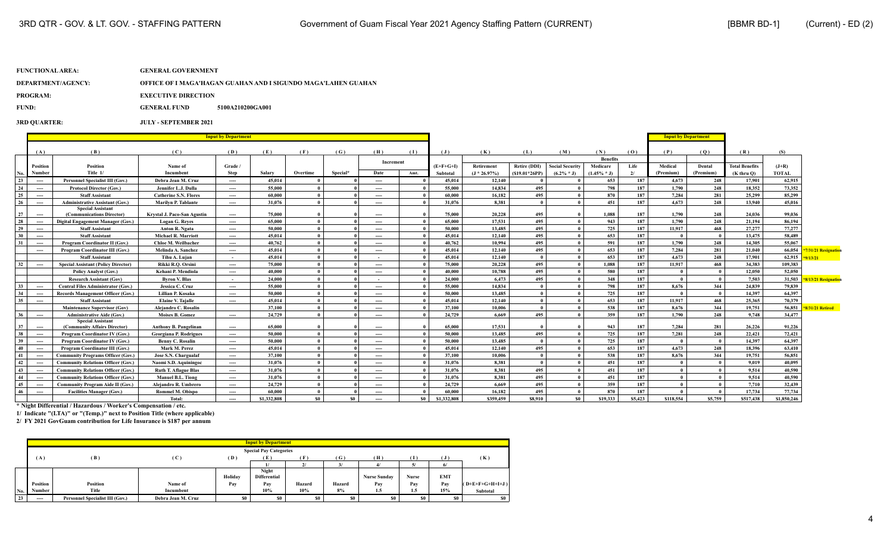# **FUNCTIONAL AREA: GENERAL GOVERNMENT DEPARTMENT/AGENCY: OFFICE OF I MAGA'HAGAN GUAHAN AND I SIGUNDO MAGA'LAHEN GUAHAN**

**PROGRAM:** EXECUTIVE DIRECTION

**FUND: GENERAL FUND 5100A210200GA001** 

**3RD QUARTER: JULY - SEPTEMBER 2021**

|          |                          |                                                                    |                                                     | <b>Input by Department</b> |                  |          |          |                          |           |                  |                  |                 |                        |                 |            | <b>Input by Department</b> |              |                       |                  |                     |
|----------|--------------------------|--------------------------------------------------------------------|-----------------------------------------------------|----------------------------|------------------|----------|----------|--------------------------|-----------|------------------|------------------|-----------------|------------------------|-----------------|------------|----------------------------|--------------|-----------------------|------------------|---------------------|
|          |                          |                                                                    |                                                     |                            |                  |          |          |                          |           |                  |                  |                 |                        |                 |            |                            |              |                       |                  |                     |
|          | (A)                      | (B)                                                                | (C)                                                 | (D)                        | (E)              | (F)      | (G)      | (H)                      | (1)       | (J)              | (K)              | (L)             | (M)                    | (N)             | (0)        | (P)                        | (Q)          | (R)                   | (S)              |                     |
|          |                          |                                                                    |                                                     |                            |                  |          |          | Increment                |           |                  |                  |                 |                        | <b>Benefits</b> |            |                            |              |                       |                  |                     |
|          | Position                 | <b>Position</b><br>Title 1/                                        | Name of                                             | Grade /                    |                  |          |          |                          |           | $(E+F+G+I)$      | Retirement       | Retire (DDI)    | <b>Social Security</b> | Medicare        | Life       | Medical                    | Dental       | <b>Total Benefits</b> | $(J+R)$          |                     |
| No.      | Number                   |                                                                    | Incumbent                                           | <b>Step</b>                | Salary           | Overtime | Special* | Date                     | Amt.      | <b>Subtotal</b>  | $(J * 26.97%)$   | $(S19.01*26PP)$ | $(6.2\% * J)$          | $(1.45\% * J)$  | 2l         | (Premium)                  | (Premium)    | $(K$ thru $O$ )       | <b>TOTAL</b>     |                     |
| 23       | $\overline{\phantom{a}}$ | <b>Personnel Specialist III (Gov.)</b>                             | Debra Jean M. Cruz                                  | $\cdots$                   | 45.014           |          |          | $\overline{\phantom{a}}$ |           | 45.014           | 12,140           | $\theta$        |                        | 653             | 187        | 4.673                      | 248          | 17,901                | 62.915           |                     |
| 24<br>25 | $\sim$                   | <b>Protocol Director (Gov.)</b><br><b>Staff Assistant</b>          | Jennifer L.J. Dulla<br><b>Catherine S.N. Flores</b> | ----                       | 55,000<br>60.000 |          |          | $\cdots$                 |           | 55,000<br>60.000 | 14,834<br>16,182 | 495<br>495      |                        | 798<br>870      | 187<br>187 | 1,790<br>7,284             | 248<br>281   | 18,352<br>25,299      | 73,352<br>85,299 |                     |
|          | $\sim$                   |                                                                    | <b>Marilyn P. Tablante</b>                          | ----                       | 31.076           |          |          | ----                     |           |                  | 8.381            | $\theta$        |                        |                 | 187        | 4.673                      | 248          | 13,940                |                  |                     |
| 26       | $\overline{\phantom{a}}$ | <b>Administrative Assistant (Gov.)</b><br><b>Special Assistant</b> |                                                     | ----                       |                  |          |          | $\cdots$                 |           | 31.076           |                  |                 |                        | 451             |            |                            |              |                       | 45,016           |                     |
| 27       | $\overline{\phantom{a}}$ | (Communications Director)                                          | Krystal J. Paco-San Agustin                         | $\cdots$                   | 75,000           |          |          | $\sim$                   |           | 75,000           | 20,228           | 495             |                        | 1,088           | 187        | 1,790                      | 248          | 24,036                | 99,036           |                     |
| 28       | ----                     | Digital Engagement Manager (Gov.)                                  | <b>Logan G. Reves</b>                               | $\cdots$                   | 65,000           |          |          | $\cdots$                 |           | 65,000           | 17.531           | 495             |                        | 943             | 187        | 1.790                      | 248          | 21.194                | 86,194           |                     |
| 29       | $\overline{\phantom{a}}$ | <b>Staff Assistant</b>                                             | Anton R. Ngata                                      | $\cdots$                   | 50,000           |          |          | $\overline{\phantom{a}}$ |           | 50,000           | 13,485           | 495             |                        | 725             | 187        | 11.917                     | 468          | 27,277                | 77,277           |                     |
| 30       | $\sim$                   | <b>Staff Assistant</b>                                             | <b>Michael R. Marriott</b>                          | ----                       | 45.014           |          |          | $\cdots$                 |           | 45,014           | 12,140           | 495             |                        | 653             | 187        |                            | $\mathbf{0}$ | 13,475                | 58,489           |                     |
| 31       | $\sim$                   | Program Coordinator II (Gov.)                                      | Chloe M. Weilbacher                                 | $\sim$                     | 40,762           |          |          | $\overline{\phantom{a}}$ |           | 40.762           | 10.994           | 495             |                        | 591             | 187        | 1,790                      | 248          | 14.305                | 55,067           |                     |
|          | $\sim$                   | Program Coordinator III (Gov.)                                     | Melinda A. Sanchez                                  | $\cdots$                   | 45.014           |          |          | $\overline{\phantom{a}}$ |           | 45,014           | 12,140           | 495             |                        | 653             | 187        | 7,284                      | 281          | 21.040                | 66,054           | 31/21 Resignation   |
|          |                          | <b>Staff Assistant</b>                                             | Tihu A. Lujan                                       | $\sim$                     | 45.014           |          |          | $\sim$                   |           | 45.014           | 12,140           | $\theta$        |                        | 653             | 187        | 4.673                      | 248          | 17,901                | 62,915           | 13/21               |
| 32       | $\sim$                   | <b>Special Assistant (Policy Director)</b>                         | Rikki R.O. Orsini                                   | $\cdots$                   | 75,000           |          |          | $\overline{\phantom{a}}$ |           | 75,000           | 20,228           | 495             |                        | 1.088           | 187        | 11.917                     | 468          | 34,383                | 109.383          |                     |
|          |                          | <b>Policy Analyst (Gov.)</b>                                       | Kehani P. Mendiola                                  | ----                       | 40.000           |          |          | $---$                    |           | 40.000           | 10,788           | 495             |                        | 580             | 187        |                            |              | 12.050                | 52,050           |                     |
|          |                          | <b>Research Assistant (Gov)</b>                                    | <b>Byron V. Blas</b>                                | $\sim$                     | 24,000           |          |          | $\sim$                   |           | 24,000           | 6.473            | 495             |                        | 348             | 187        | $\theta$                   | $\mathbf{0}$ | 7.503                 | 31,503           | 8/13/21 Resignation |
| 33       | $\sim$                   | <b>Central Files Administrator (Gov.)</b>                          | Jessica C. Cruz                                     | $\cdots$                   | 55,000           |          |          | $\overline{\phantom{a}}$ |           | 55,000           | 14,834           | $\theta$        |                        | 798             | 187        | 8.676                      | 344          | 24,839                | 79,839           |                     |
| 34       | $\sim$                   | Records Management Officer (Gov.)                                  | Lillian P. Kosaka                                   | ----                       | 50,000           |          |          | $\cdots$                 |           | 50,000           | 13,485           | $\theta$        |                        | 725             | 187        |                            | $\mathbf{0}$ | 14.397                | 64.397           |                     |
| 35       | $\overline{\phantom{a}}$ | <b>Staff Assistant</b>                                             | <b>Elaine V. Tajalle</b>                            | $\cdots$                   | 45.014           |          |          | $\cdots$                 |           | 45.014           | 12,140           | $\theta$        |                        | 653             | 187        | 11.917                     | 468          | 25.365                | 70,379           |                     |
|          |                          | <b>Maintenance Supervisor (Gov)</b>                                | Alejandro C. Rosalin                                |                            | 37,100           |          |          | ----                     |           | 37,100           | 10,006           | $\theta$        |                        | 538             | 187        | 8,676                      | 344          | 19,751                | 56,851           | 8/31/21 Retired     |
| 36       | $\sim$                   | <b>Administrative Aide (Gov.)</b>                                  | <b>Moises B. Gomez</b>                              | ----                       | 24,729           |          |          | ----                     |           | 24,729           | 6.669            | 495             |                        | 359             | 187        | 1,790                      | 248          | 9.748                 | 34,477           |                     |
| 37       | $\overline{\phantom{a}}$ | <b>Special Assistant</b><br>(Community Affairs Director)           | <b>Anthony B. Pangelinan</b>                        | $\cdots$                   | 65,000           |          |          | $\overline{\phantom{a}}$ |           | 65,000           | 17.531           |                 |                        | 943             | 187        | 7.284                      | 281          | 26,226                | 91.226           |                     |
| 38       | $\sim$                   | Program Coordinator IV (Gov.)                                      | Georgiana P. Rodrigues                              | ----                       | 50,000           |          |          | $\cdots$                 |           | 50,000           | 13,485           | 495             |                        | 725             | 187        | 7,281                      | 248          | 22,421                | 72,421           |                     |
| 39       | $\sim$                   | Program Coordinator IV (Gov.)                                      | <b>Benny C. Rosalin</b>                             | ----                       | 50,000           |          |          | ----                     |           | 50,000           | 13,485           | $\theta$        |                        | 725             | 187        |                            | $\bf{0}$     | 14.397                | 64,397           |                     |
| 40       | $\sim$                   | Program Coordinator III (Gov.)                                     | Mark M. Perez                                       | $\cdots$                   | 45.014           |          |          | $\cdots$                 |           | 45.014           | 12,140           | 495             |                        | 653             | 187        | 4.673                      | 248          | 18.396                | 63,410           |                     |
| 41       | ----                     | <b>Community Programs Officer (Gov.)</b>                           | Jose S.N. Chargualaf                                | ----                       | 37,100           |          |          | $---$                    |           | 37,100           | 10.006           | $\theta$        |                        | 538             | 187        | 8.676                      | 344          | 19.751                | 56,851           |                     |
| 42       | ----                     | <b>Community Relations Officer (Gov.)</b>                          | Naomi S.D. Aquiningoc                               | ----                       | 31,076           |          |          | $---$                    |           | 31.076           | 8.381            | $\theta$        |                        | 451             | 187        |                            | $\mathbf{0}$ | 9.019                 | 40.095           |                     |
| 43       | $\sim$                   | <b>Community Relations Officer (Gov.)</b>                          | <b>Ruth T. Aflague Blas</b>                         | ----                       | 31,076           |          |          | ----                     |           | 31.076           | 8.381            | 495             |                        | 451             | 187        |                            |              | 9.514                 | 40,590           |                     |
| 44       | $\overline{\phantom{a}}$ | <b>Community Relations Officer (Gov.)</b>                          | <b>Manuel B.L. Tiong</b>                            | ----                       | 31,076           |          |          | $\cdots$                 |           | 31,076           | 8.381            | 495             |                        | 451             | 187        |                            |              | 9.514                 | 40.590           |                     |
| 45       | $\overline{\phantom{a}}$ | <b>Community Program Aide II (Gov.)</b>                            | Alejandro R. Umbrero                                | ----                       | 24,729           |          |          | ----                     |           | 24,729           | 6.669            | 495             |                        | 359             | 187        |                            |              | 7.710                 | 32,439           |                     |
| 46       | ----                     | <b>Facilities Manager (Gov.)</b>                                   | Rommel M. Obispo                                    | ----                       | 60,000           |          |          | ----                     |           | 60.000           | 16,182           | 495             |                        | 870             | 187        |                            |              | 17,734                | 77,734           |                     |
|          |                          |                                                                    | Total:                                              | ----                       | \$1,332,808      | \$0      | -50      | $---$                    | <b>SO</b> | \$1,332,808      | \$359.459        | \$8.910         | \$0                    | \$19,333        | \$5.423    | \$118,554                  | \$5.759      | \$517.438             | \$1,850,246      |                     |

**\* Night Differential / Hazardous / Worker's Compensation / etc.**

**1/ Indicate "(LTA)" or "(Temp.)" next to Position Title (where applicable)**

|     |                          |                                 |                    |         | <b>Input by Department</b>    |              |        |                     |              |            |                   |
|-----|--------------------------|---------------------------------|--------------------|---------|-------------------------------|--------------|--------|---------------------|--------------|------------|-------------------|
|     |                          |                                 |                    |         | <b>Special Pay Categories</b> |              |        |                     |              |            |                   |
|     | (A)                      | (B)                             | (C)                | (D)     | E                             | (F           | (G)    | (H)                 | 1            |            | (K)               |
|     |                          |                                 |                    |         |                               | $\mathbf{v}$ |        | $\mathbf{A}$        |              | 6/         |                   |
|     |                          |                                 |                    | Holiday | Night<br><b>Differential</b>  |              |        | <b>Nurse Sunday</b> | <b>Nurse</b> | <b>EMT</b> |                   |
|     | Position                 | Position                        | Name of            | Pay     | Pay                           | Hazard       | Hazard | Pay                 | Pay          | Pay        | $(D+E+F+G+H+I+J)$ |
| No. | Number                   | Title                           | Incumbent          |         | 10%                           | 10%          | 8%     | 1.5                 | 1.5          | 15%        | Subtotal          |
| 23  | $\overline{\phantom{a}}$ | Personnel Specialist III (Gov.) | Debra Jean M. Cruz | \$0     | \$0                           | \$0          | \$0    |                     | \$0          | \$0        | S <sub>0</sub>    |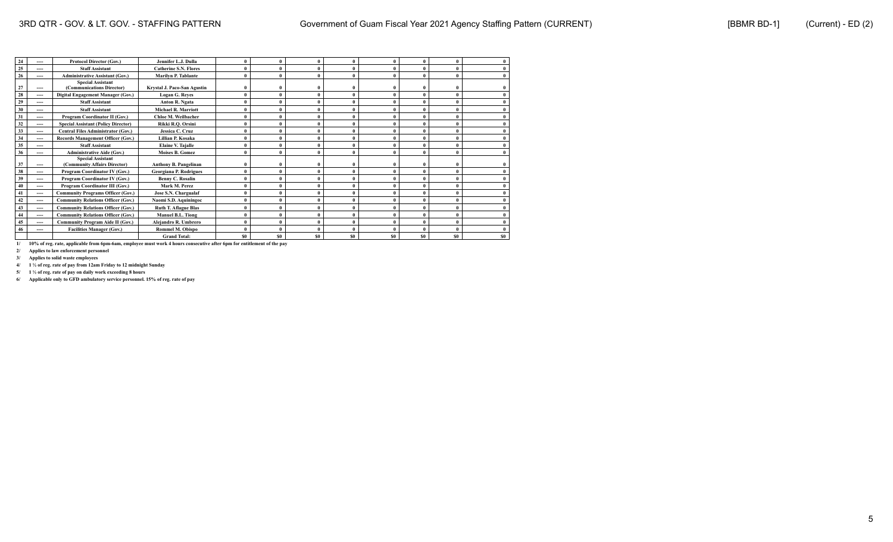|    | ---- | <b>Protocol Director (Gov.)</b>                          | Jennifer L.J. Dulla          | $\theta$     | $\theta$       |     |                | $\theta$     | $\mathbf{0}$   | $\mathbf{0}$ | $\mathbf{0}$   |
|----|------|----------------------------------------------------------|------------------------------|--------------|----------------|-----|----------------|--------------|----------------|--------------|----------------|
| 25 | ---- | <b>Staff Assistant</b>                                   | <b>Catherine S.N. Flores</b> | $\theta$     | $\theta$       |     |                |              | $\theta$       |              | $\mathbf{0}$   |
| 26 | ---- | <b>Administrative Assistant (Gov.)</b>                   | Marilyn P. Tablante          | $\theta$     | $\theta$       |     |                | $\theta$     | $\theta$       |              | $\bf{0}$       |
| 27 | ---- | <b>Special Assistant</b><br>(Communications Director)    | Krystal J. Paco-San Agustin  | $\theta$     | $\theta$       |     |                |              | $\mathbf{0}$   |              |                |
| 28 | ---- | Digital Engagement Manager (Gov.)                        | <b>Logan G. Reves</b>        | $\theta$     | $\theta$       |     |                |              | $\mathbf{0}$   | $\theta$     | $\mathbf{0}$   |
| 29 | ---- | <b>Staff Assistant</b>                                   | Anton R. Ngata               | $\theta$     | $\theta$       |     |                |              | $\theta$       |              | $\mathbf{0}$   |
| 30 | ---- | <b>Staff Assistant</b>                                   | <b>Michael R. Marriott</b>   | $\theta$     | $\theta$       |     |                |              | $\theta$       |              | $\mathbf{0}$   |
| 31 | ---- | Program Coordinator II (Gov.)                            | Chloe M. Weilbacher          | $\theta$     | $\theta$       |     |                |              |                |              | $\mathbf{0}$   |
| 32 | ---- | <b>Special Assistant (Policy Director)</b>               | Rikki R.Q. Orsini            | $\theta$     | $\theta$       |     |                |              | $\theta$       |              | $\mathbf{0}$   |
| 33 | ---- | <b>Central Files Administrator (Gov.)</b>                | Jessica C. Cruz              |              | $\theta$       |     |                | $\theta$     | $\theta$       |              | $\mathbf{0}$   |
| 34 | ---- | Records Management Officer (Gov.)                        | Lillian P. Kosaka            | $\theta$     | $\theta$       |     |                | $\theta$     | $\mathbf{0}$   |              | $\bf{0}$       |
| 35 | ---- | <b>Staff Assistant</b>                                   | <b>Elaine V. Taialle</b>     | $\theta$     | $\theta$       |     |                | $\theta$     | $\mathbf{0}$   |              | $\mathbf{0}$   |
| 36 | ---- | <b>Administrative Aide (Gov.)</b>                        | <b>Moises B. Gomez</b>       | $\mathbf{0}$ | $\theta$       |     |                |              | $\theta$       |              | $\bf{0}$       |
| 37 | ---- | <b>Special Assistant</b><br>(Community Affairs Director) | Anthony B. Pangelinan        | $\mathbf{0}$ | $\theta$       |     |                | $\mathbf{0}$ | $\theta$       |              |                |
| 38 | ---- | Program Coordinator IV (Gov.)                            | Georgiana P. Rodrigues       | $\theta$     | $\theta$       |     |                |              | $\theta$       |              | $\mathbf{0}$   |
| 39 | ---- | Program Coordinator IV (Gov.)                            | <b>Benny C. Rosalin</b>      | $\theta$     | $\theta$       |     |                |              | $\mathbf{0}$   | $\theta$     | $\mathbf{0}$   |
| 40 | ---- | Program Coordinator III (Gov.)                           | Mark M. Perez                | $\theta$     | $\theta$       |     |                |              | $\theta$       |              | $\mathbf{0}$   |
| 41 | ---- | <b>Community Programs Officer (Gov.)</b>                 | Jose S.N. Chargualaf         | $\theta$     | $\theta$       |     |                |              | $\theta$       |              | $\mathbf{0}$   |
| 42 | ---- | <b>Community Relations Officer (Gov.)</b>                | Naomi S.D. Aquiningoc        | $\theta$     | $\theta$       |     |                |              |                |              |                |
| 43 | ---- | <b>Community Relations Officer (Gov.)</b>                | <b>Ruth T. Aflague Blas</b>  | $\theta$     | $\theta$       |     |                |              | $\theta$       |              | $\mathbf{0}$   |
|    | ---- | <b>Community Relations Officer (Gov.)</b>                | <b>Manuel B.L. Tiong</b>     | $\theta$     | $\theta$       |     |                | $\theta$     | $\theta$       |              | $\mathbf{0}$   |
| 45 | ---- | <b>Community Program Aide II (Gov.)</b>                  | Alejandro R. Umbrero         | $\theta$     | $\theta$       |     |                | $\theta$     | $\theta$       |              | $\bf{0}$       |
| 46 | ---- | <b>Facilities Manager (Gov.)</b>                         | <b>Rommel M. Obispo</b>      | $\mathbf{0}$ | $\theta$       |     |                | $\theta$     | $\theta$       |              | $\theta$       |
|    |      |                                                          | <b>Grand Total:</b>          | \$0          | S <sub>0</sub> | \$0 | S <sub>0</sub> | SO.          | S <sub>0</sub> | \$0          | S <sub>0</sub> |

**2/ Applies to law enforcement personnel**

**3/ Applies to solid waste employees**

**4/ 1 ½ of reg. rate of pay from 12am Friday to 12 midnight Sunday**

**5/ 1 ½ of reg. rate of pay on daily work exceeding 8 hours**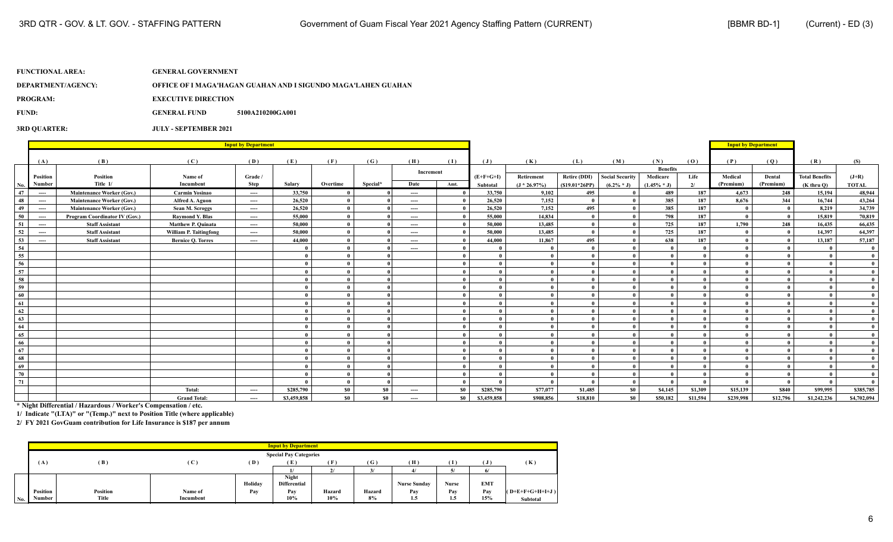| DEPARTMENT/AGENCY: | OFFICE OF I MAGA'HAGAN GUAHAN AND I SIGUNDO MAGA'LAHEN GUAHAN |
|--------------------|---------------------------------------------------------------|
|                    |                                                               |

**PROGRAM:** EXECUTIVE DIRECTION

**FUND: GENERAL FUND 5100A210200GA001** 

#### **3RD QUARTER: JULY - SEPTEMBER 2021**

|     |          |                                  |                               | <b>Input by Department</b>    |              |          |          |                               |       |                |                |                     |                        |                 |          | <b>Input by Department</b> |              |                       |              |
|-----|----------|----------------------------------|-------------------------------|-------------------------------|--------------|----------|----------|-------------------------------|-------|----------------|----------------|---------------------|------------------------|-----------------|----------|----------------------------|--------------|-----------------------|--------------|
|     | (A)      | (B)                              | (C)                           | (D)                           | (E)          | (F)      | (G)      | (H)                           | (1)   | $(\mathbf{J})$ | (K)            | (L)                 | (M)                    | (N)             | (0)      | (P)                        | (Q)          | (R)                   | (S)          |
|     |          |                                  |                               |                               |              |          |          | Increment                     |       |                |                |                     |                        | <b>Benefits</b> |          |                            |              |                       |              |
|     | Position | Position<br>Title 1/             | Name of<br>Incumbent          | Grade /                       |              |          |          |                               |       | $(E+F+G+I)$    | Retirement     | <b>Retire (DDI)</b> | <b>Social Security</b> | Medicare        | Life     | Medical                    | Dental       | <b>Total Benefits</b> | $(J+R)$      |
| No. | Number   |                                  |                               | <b>Step</b>                   | Salary       | Overtime | Special* | Date                          | Amt.  | Subtotal       | $(J * 26.97%)$ | $(S19.01*26PP)$     | $(6.2\% * J)$          | $(1.45\% * J)$  | 2/       | (Premium)                  | (Premium)    | $(K$ thru $O$ )       | <b>TOTAL</b> |
| 47  | ----     | <b>Maintenance Worker (Gov.)</b> | <b>Carmin Yosinao</b>         | $\hspace{1.5cm} \textbf{---}$ | 33,750       |          |          | $\hspace{1.5cm} \textbf{---}$ |       | 33,750         | 9,102          | 495                 |                        | 489             | 187      | 4,673                      | 248          | 15,194                | 48,944       |
| 48  | ----     | <b>Maintenance Worker (Gov.)</b> | Alfred A. Aguon               | $\cdots$                      | 26,520       |          |          | $\qquad \qquad \cdots$        |       | 26,520         | 7,152          |                     |                        | 385             | 187      | 8.676                      | 344          | 16,744                | 43,264       |
| 49  | $---$    | <b>Maintenance Worker (Gov.)</b> | Sean M. Scroggs               | $\hspace{1.5cm} \textbf{---}$ | 26,520       |          |          | $\qquad \qquad \cdots$        |       | 26,520         | 7,152          | 495                 |                        | 385             | 187      |                            |              | 8,219                 | 34,739       |
| 50  | ----     | Program Coordinator IV (Gov.)    | <b>Raymond Y. Blas</b>        | ----                          | 55,000       |          |          | $\hspace{1.5cm} \textbf{---}$ |       | 55,000         | 14,834         | $\mathbf{0}$        |                        | 798             | 187      |                            |              | 15,819                | 70,819       |
| 51  | ----     | <b>Staff Assistant</b>           | <b>Matthew P. Quinata</b>     | $\cdots$                      | 50,000       |          |          | $---$                         |       | 50,000         | 13,485         | $\mathbf{0}$        |                        | 725             | 187      | 1.790                      | 248          | 16,435                | 66,435       |
| 52  | ----     | <b>Staff Assistant</b>           | <b>William P. Taitingfong</b> | ----                          | 50,000       |          |          | $\cdots$                      |       | 50,000         | 13,485         | $\mathbf{0}$        | $\theta$               | 725             | 187      |                            | $\mathbf{a}$ | 14,397                | 64,397       |
| 53  | ----     | <b>Staff Assistant</b>           | <b>Bernice O. Torres</b>      | ----                          | 44,000       |          |          | ----                          |       | 44,000         | 11,867         | 495                 | $\theta$               | 638             | 187      |                            |              | 13,187                | 57,187       |
| 54  |          |                                  |                               |                               | $\theta$     |          |          | $\qquad \qquad \cdots$        |       |                | $\mathbf{0}$   |                     | $\theta$               |                 |          |                            |              |                       | $\mathbf{0}$ |
| 55  |          |                                  |                               |                               |              |          |          |                               |       | $\mathbf{0}$   | $\theta$       |                     |                        |                 |          |                            |              |                       | $\mathbf{0}$ |
| 56  |          |                                  |                               |                               | $\mathbf{0}$ |          |          |                               |       | $\mathbf{0}$   | $\theta$       | $\mathbf{0}$        | $\theta$               |                 |          |                            |              |                       | $\mathbf{0}$ |
| 57  |          |                                  |                               |                               | $\mathbf{0}$ |          |          |                               |       | $\mathbf{0}$   | $\mathbf{0}$   |                     | $\theta$               |                 |          |                            |              |                       | $\mathbf{0}$ |
| 58  |          |                                  |                               |                               | $\mathbf{0}$ |          |          |                               |       | $\mathbf{0}$   | $\theta$       |                     | $\theta$               |                 |          |                            |              |                       | $\mathbf{0}$ |
| 59  |          |                                  |                               |                               | $\theta$     |          |          |                               |       | $\mathbf{0}$   | $\theta$       |                     |                        |                 |          |                            |              |                       | $\mathbf{0}$ |
| 60  |          |                                  |                               |                               | $\theta$     |          |          |                               |       | $\mathbf{0}$   | $\theta$       | $\mathbf{0}$        | $\theta$               |                 |          |                            |              |                       | $\bf{0}$     |
| 61  |          |                                  |                               |                               | $\theta$     |          |          |                               |       | $\mathbf{0}$   | $\mathbf{0}$   |                     | $\theta$               |                 |          |                            |              |                       | $\theta$     |
| 62  |          |                                  |                               |                               | $\mathbf{a}$ |          |          |                               |       | $\mathbf{0}$   | $\theta$       |                     | $\theta$               |                 |          |                            |              |                       | $\mathbf{0}$ |
| 63  |          |                                  |                               |                               |              |          |          |                               |       | $\mathbf{0}$   | $\theta$       |                     |                        |                 |          |                            |              |                       | $\mathbf{0}$ |
| 64  |          |                                  |                               |                               | $\theta$     |          |          |                               |       | $\mathbf{0}$   | $\theta$       |                     | $\theta$               |                 |          |                            |              |                       | $\mathbf{0}$ |
| 65  |          |                                  |                               |                               |              |          |          |                               |       | $\mathbf{0}$   | $\theta$       |                     | $\theta$               |                 |          |                            |              |                       |              |
| 66  |          |                                  |                               |                               |              |          |          |                               |       | $\mathbf{0}$   | $\theta$       |                     |                        |                 |          |                            |              |                       |              |
| 67  |          |                                  |                               |                               |              |          |          |                               |       | $\mathbf{0}$   | $\theta$       |                     |                        |                 |          |                            |              |                       | $\theta$     |
| 68  |          |                                  |                               |                               |              |          |          |                               |       | $\mathbf{a}$   | $\theta$       |                     |                        |                 |          |                            |              |                       | $\mathbf{0}$ |
| 69  |          |                                  |                               |                               |              |          |          |                               |       | $\mathbf{0}$   | $\theta$       |                     | $\theta$               |                 |          |                            |              |                       | $\theta$     |
| 70  |          |                                  |                               |                               |              |          |          |                               |       | $\mathbf{a}$   | $\theta$       |                     | $\mathbf{a}$           |                 |          |                            |              |                       | $\theta$     |
| 71  |          |                                  |                               |                               |              |          |          |                               |       |                | $\theta$       |                     | $\mathbf{0}$           |                 |          |                            | $\theta$     |                       |              |
|     |          |                                  | Total:                        | ----                          | \$285,790    | \$0      | \$0      | $\qquad \qquad \cdots$        | - \$0 | \$285,790      | \$77,077       | \$1,485             | <b>SO</b>              | \$4,145         | \$1,309  | \$15,139                   | \$840        | \$99,995              | \$385,785    |
|     |          |                                  | <b>Grand Total:</b>           | ----                          | \$3,459,858  | $\$0$    | \$0      | $---$                         | - \$0 | \$3,459,858    | \$908,856      | \$18,810            | \$0                    | \$50,182        | \$11,594 | \$239,998                  | \$12,796     | \$1,242,236           | \$4,702,094  |

**\* Night Differential / Hazardous / Worker's Compensation / etc.**

**1/ Indicate "(LTA)" or "(Temp.)" next to Position Title (where applicable)**

|         |                 |          |           |         | <b>Input by Department</b>    |        |        |                     |       |            |                   |
|---------|-----------------|----------|-----------|---------|-------------------------------|--------|--------|---------------------|-------|------------|-------------------|
|         |                 |          |           |         | <b>Special Pay Categories</b> |        |        |                     |       |            |                   |
|         | (A)             | (B)      | (C)       | (D)     | E                             | œ      | ( G )  | (H)                 | Œ     | J)         | (K)               |
|         |                 |          |           |         |                               |        |        |                     | v.    | 6/         |                   |
|         |                 |          |           |         | <b>Night</b>                  |        |        |                     |       |            |                   |
|         |                 |          |           | Holiday | <b>Differential</b>           |        |        | <b>Nurse Sunday</b> | Nurse | <b>EMT</b> |                   |
|         | <b>Position</b> | Position | Name of   | Pay     | Pay                           | Hazard | Hazard | Pav                 | Pav   | Pav        | $(D+E+F+G+H+I+J)$ |
| $N_0$ . | Number          | Title    | Incumbent |         | 10%                           | 10%    | 8%     | 1.5                 | 1.5   | 15%        | Subtotal          |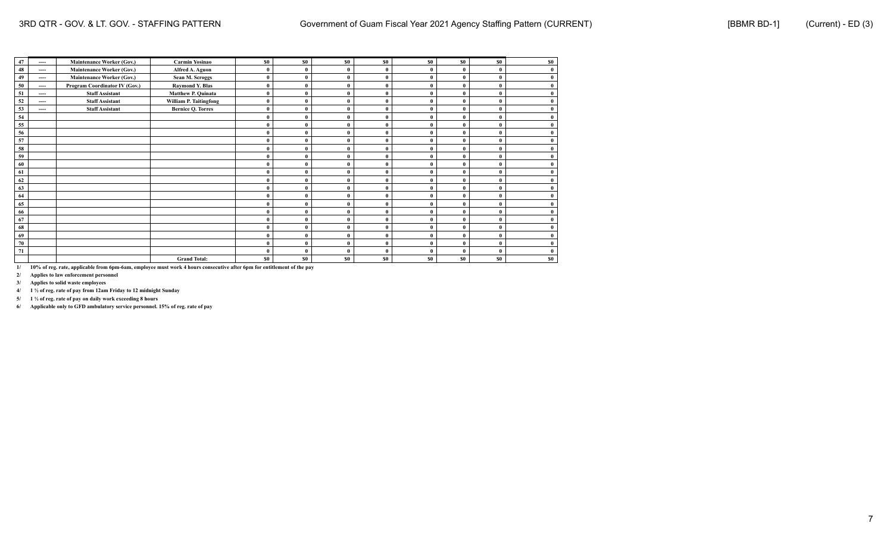| 47 | ----     | <b>Maintenance Worker (Gov.)</b> | Carmin Yosinao           | \$0      | \$0\$          | \$0            | \$0          | \$0      | \$0          | \$0            | \$0       |
|----|----------|----------------------------------|--------------------------|----------|----------------|----------------|--------------|----------|--------------|----------------|-----------|
| 48 | ----     | <b>Maintenance Worker (Gov.)</b> | Alfred A. Aguon          |          | $\mathbf{0}$   |                | $\mathbf{0}$ | $\theta$ |              |                |           |
| 49 | $\cdots$ | <b>Maintenance Worker (Gov.)</b> | Sean M. Scroggs          | $\theta$ | $\mathbf{0}$   | 0              | $\mathbf{0}$ | $\theta$ | $\mathbf{0}$ |                |           |
| 50 | ----     | Program Coordinator IV (Gov.)    | <b>Raymond Y. Blas</b>   | $\theta$ | $\theta$       | 0              | $\mathbf{0}$ | $\theta$ | $\mathbf{0}$ |                |           |
| 51 | ----     | <b>Staff Assistant</b>           | Matthew P. Quinata       | $\theta$ | $\bf{0}$       | ſ              | $\bf{0}$     | $\theta$ | $\mathbf{0}$ |                |           |
| 52 | ----     | <b>Staff Assistant</b>           | William P. Taitingfong   | $\theta$ | $\mathbf{0}$   | ſ              | $\theta$     | $\theta$ | 0            |                |           |
| 53 | ----     | <b>Staff Assistant</b>           | <b>Bernice Q. Torres</b> | $\theta$ | $\bf{0}$       | O              | $\mathbf{0}$ | $\theta$ | $\mathbf{0}$ |                |           |
| 54 |          |                                  |                          | $\theta$ | $\mathbf{0}$   | 0              | $\mathbf{0}$ |          | $\theta$     |                |           |
| 55 |          |                                  |                          |          | $\bf{0}$       |                | $\mathbf{0}$ |          | $\mathbf{0}$ |                |           |
| 56 |          |                                  |                          |          | $\bf{0}$       | 0              | $\bf{0}$     | $\theta$ | $\mathbf{0}$ |                |           |
| 57 |          |                                  |                          | $\theta$ | $\bf{0}$       | 0              | $\mathbf{0}$ | $\theta$ | $\bf{0}$     |                |           |
| 58 |          |                                  |                          |          | $\mathbf{0}$   |                | $\bf{0}$     | $\theta$ | $\Omega$     |                |           |
| 59 |          |                                  |                          | $\theta$ | $\theta$       | O              | $\mathbf{0}$ | $\theta$ | $\theta$     | 0              |           |
| 60 |          |                                  |                          |          | $\mathbf{0}$   | 0              | $\mathbf{0}$ | $\theta$ | $\theta$     |                |           |
| 61 |          |                                  |                          |          | $\bf{0}$       | 0              | $\bf{0}$     |          | 0            |                |           |
| 62 |          |                                  |                          | $\Omega$ | $\bf{0}$       | O              | $\mathbf{0}$ | $\theta$ | $\bf{0}$     |                |           |
| 63 |          |                                  |                          |          | $\bf{0}$       | 0              | $\bf{0}$     | $\theta$ | $\mathbf{0}$ |                |           |
| 64 |          |                                  |                          | $\Omega$ | $\theta$       | ſ              | $\mathbf{0}$ | $\theta$ | $\mathbf{0}$ |                |           |
| 65 |          |                                  |                          | $\theta$ | $\theta$       | ſ              | $\mathbf{0}$ | $\theta$ | $\theta$     |                |           |
| 66 |          |                                  |                          | $\theta$ | $\theta$       | O              | $\mathbf{0}$ | $\theta$ | $\theta$     |                |           |
| 67 |          |                                  |                          | $\Omega$ | $\bf{0}$       | 0              | $\mathbf{0}$ | $\theta$ | $\theta$     |                |           |
| 68 |          |                                  |                          |          | $\bf{0}$       | 0              | $\bf{0}$     |          | 0            |                |           |
| 69 |          |                                  |                          |          | $\bf{0}$       | 0              | $\bf{0}$     | $\theta$ | $\bf{0}$     |                |           |
| 70 |          |                                  |                          | $\theta$ | $\bf{0}$       | 0              | $\bf{0}$     | $\theta$ | $\theta$     |                |           |
| 71 |          |                                  |                          |          | $\theta$       |                | $\mathbf{0}$ | $\theta$ | $\theta$     |                |           |
|    |          |                                  | <b>Grand Total:</b>      | \$0      | S <sub>0</sub> | S <sub>0</sub> | \$0          | \$0      | \$0          | S <sub>0</sub> | <b>SO</b> |

**2/ Applies to law enforcement personnel**

**3/ Applies to solid waste employees**

**4/ 1 ½ of reg. rate of pay from 12am Friday to 12 midnight Sunday**

**5/ 1 ½ of reg. rate of pay on daily work exceeding 8 hours**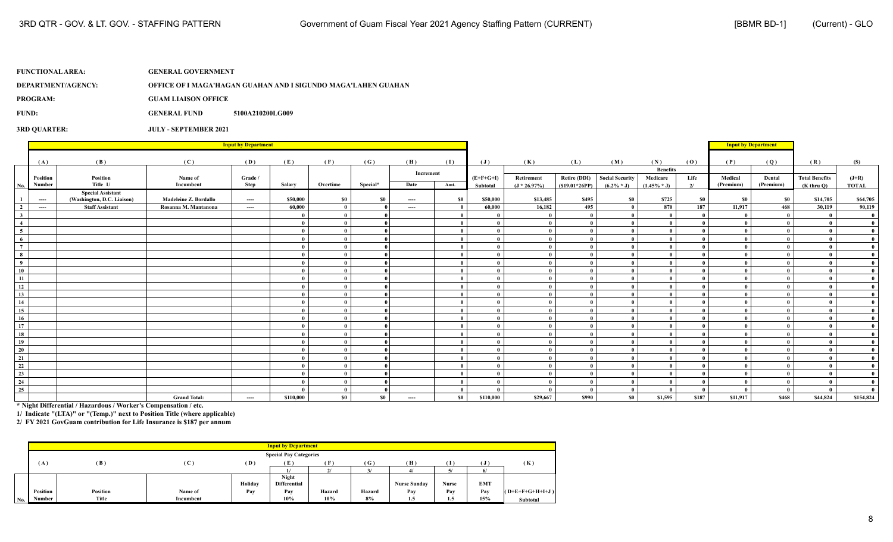**DEPARTMENT/AGENCY: OFFICE OF I MAGA'HAGAN GUAHAN AND I SIGUNDO MAGA'LAHEN GUAHAN**

**PROGRAM: GUAM LIAISON OFFICE**

**FUND: GENERAL FUND 5100A210200LG009** 

**3RD QUARTER: JULY - SEPTEMBER 2021**

|                                         |                           |                            |                       | <b>Input by Department</b> |           |              |           |           |      |                |                |                     |                        |                 |              | <b>Input by Department</b> |                     |                       |              |
|-----------------------------------------|---------------------------|----------------------------|-----------------------|----------------------------|-----------|--------------|-----------|-----------|------|----------------|----------------|---------------------|------------------------|-----------------|--------------|----------------------------|---------------------|-----------------------|--------------|
|                                         |                           |                            |                       |                            |           |              |           |           |      |                |                |                     |                        |                 |              |                            |                     |                       |              |
|                                         | (A)                       | (B)                        | (C)                   | (D)                        | (E)       | (F)          | (G)       | (H)       | (1)  | $(\mathbf{J})$ | (K)            | (L)                 | (M)                    | (N)             | (0)          | (P)                        | (Q)                 | (R)                   | (S)          |
|                                         |                           |                            |                       |                            |           |              |           | Increment |      |                |                |                     |                        | <b>Benefits</b> |              |                            |                     |                       |              |
|                                         | Position<br><b>Number</b> | Position<br>Title 1/       | Name of<br>Incumbent  | Grade /<br>Step            | Salary    | Overtime     | Special*  | Date      | Amt. | $(E+F+G+I)$    | Retirement     | <b>Retire (DDI)</b> | <b>Social Security</b> | Medicare        | Life         | Medical<br>(Premium)       | Dental<br>(Premium) | <b>Total Benefits</b> | $(J+R)$      |
| No.                                     |                           | <b>Special Assistant</b>   |                       |                            |           |              |           |           |      | Subtotal       | $(J * 26.97%)$ | $(S19.01*26PP)$     | $(6.2\% * J)$          | $(1.45\% * J)$  | 2/           |                            |                     | $(K$ thru $Q$ )       | <b>TOTAL</b> |
| $\overline{1}$                          | $-$                       | (Washington, D.C. Liaison) | Madeleine Z. Bordallo | ----                       | \$50,000  | \$0          | <b>SO</b> | $---$     | \$0  | \$50,000       | \$13,485       | \$495               | \$0                    | \$725           | <b>SO</b>    | SO.                        | \$0                 | \$14,705              | \$64,705     |
| $\frac{2}{\sqrt{2}}$                    | $\cdots$                  | <b>Staff Assistant</b>     | Rosanna M. Mantanona  | ----                       | 60,000    | $\bf{0}$     |           | ----      | - 0  | 60,000         | 16,182         | 495                 | $\theta$               | 870             | 187          | 11,917                     | 468                 | 30,119                | 90,119       |
| $\overline{\mathbf{3}}$                 |                           |                            |                       |                            |           | $\mathbf{0}$ |           |           |      |                |                |                     |                        |                 | $\mathbf{a}$ |                            |                     | $\mathbf{0}$          | $\mathbf{0}$ |
|                                         |                           |                            |                       |                            |           | - 0          |           |           |      |                |                |                     |                        |                 | $\mathbf{0}$ |                            |                     |                       | $\mathbf{0}$ |
| $\frac{4}{5}$                           |                           |                            |                       |                            |           | - 0          |           |           |      |                |                |                     |                        |                 | $\mathbf{a}$ |                            |                     | $\theta$              | $\mathbf{0}$ |
| $\frac{6}{7}$                           |                           |                            |                       |                            |           | $\mathbf{0}$ |           |           |      |                |                |                     |                        |                 | - 0          |                            |                     |                       | $\mathbf{0}$ |
|                                         |                           |                            |                       |                            |           | $\mathbf{0}$ |           |           |      |                |                |                     |                        |                 | $\mathbf{0}$ |                            |                     |                       | $\mathbf{0}$ |
| $\begin{array}{c}\n8 \\ 9\n\end{array}$ |                           |                            |                       |                            |           | $\mathbf{0}$ |           |           |      |                |                |                     |                        |                 | $\mathbf{a}$ |                            |                     |                       | $\mathbf{0}$ |
|                                         |                           |                            |                       |                            |           | $\mathbf{0}$ |           |           |      |                | $\mathbf{a}$   |                     |                        |                 | $\mathbf{a}$ |                            |                     |                       | $\mathbf{0}$ |
| 10                                      |                           |                            |                       |                            |           | $\mathbf{0}$ |           |           |      |                |                |                     |                        |                 | $\mathbf{0}$ |                            |                     | $\theta$              | $\theta$     |
| 11                                      |                           |                            |                       |                            |           | $\mathbf{a}$ |           |           |      |                |                |                     |                        |                 | $\mathbf{a}$ |                            |                     |                       | $\mathbf{0}$ |
| 12                                      |                           |                            |                       |                            |           | $\mathbf{0}$ |           |           |      |                |                |                     |                        |                 | $\mathbf{a}$ |                            |                     |                       | $\mathbf{0}$ |
| 13                                      |                           |                            |                       |                            |           | $\mathbf{0}$ |           |           |      |                |                |                     |                        |                 |              |                            |                     |                       | $\mathbf{0}$ |
| 14                                      |                           |                            |                       |                            |           | $\mathbf{0}$ |           |           |      |                |                |                     |                        |                 | $\mathbf{a}$ |                            |                     |                       | $\mathbf{0}$ |
| 15                                      |                           |                            |                       |                            |           | $\mathbf{0}$ |           |           |      |                |                |                     |                        |                 | $\mathbf{a}$ |                            |                     |                       | $\mathbf{0}$ |
| 16<br>—                                 |                           |                            |                       |                            |           | $\mathbf{0}$ |           |           |      |                |                |                     | $\theta$               |                 | $\mathbf{a}$ |                            |                     |                       | $\mathbf{0}$ |
| 17                                      |                           |                            |                       |                            |           | $\mathbf{0}$ |           |           |      |                |                |                     | -0                     |                 | $\mathbf{a}$ |                            |                     |                       | $\theta$     |
| 18                                      |                           |                            |                       |                            |           | $\mathbf{0}$ |           |           |      |                |                |                     | $\theta$               |                 | $\mathbf{a}$ |                            |                     |                       | $\mathbf{0}$ |
|                                         |                           |                            |                       |                            |           | - 0          |           |           |      |                |                |                     |                        |                 | $\mathbf{a}$ |                            |                     |                       | $\mathbf{0}$ |
| $\frac{19}{20}$                         |                           |                            |                       |                            |           | $\mathbf{0}$ |           |           |      |                |                |                     | $\theta$               |                 | $\mathbf{a}$ |                            |                     |                       | $\mathbf{0}$ |
|                                         |                           |                            |                       |                            |           | $\mathbf{0}$ |           |           |      |                |                |                     | -0                     |                 |              |                            |                     |                       | $\mathbf{0}$ |
| $\frac{21}{22}$                         |                           |                            |                       |                            |           | $\mathbf{0}$ |           |           |      |                |                |                     |                        |                 | $\mathbf{a}$ |                            |                     |                       | $\mathbf{0}$ |
| $\frac{23}{24}$                         |                           |                            |                       |                            |           | $\mathbf{0}$ |           |           |      |                |                |                     |                        |                 | $\mathbf{a}$ |                            |                     |                       | $\mathbf{0}$ |
|                                         |                           |                            |                       |                            |           | $\mathbf{0}$ |           |           |      |                |                |                     |                        |                 | - 0          |                            |                     | - 0                   | $\theta$     |
| $\overline{25}$                         |                           |                            |                       |                            |           | $\mathbf{0}$ |           |           |      |                |                |                     | - 0                    |                 | $\mathbf{a}$ |                            |                     | $\theta$              | $\theta$     |
|                                         |                           |                            | <b>Grand Total:</b>   | $---$                      | \$110,000 | \$0          | $\$0$     | ----      | \$0  | \$110,000      | \$29,667       | \$990               | \$0                    | \$1,595         | \$187        | \$11,917                   | \$468               | \$44,824              | \$154,824    |

**\* Night Differential / Hazardous / Worker's Compensation / etc.**

**1/ Indicate "(LTA)" or "(Temp.)" next to Position Title (where applicable)**

|     |          |          |                |         | <b>Input by Department</b>    |           |              |                     |       |            |                   |
|-----|----------|----------|----------------|---------|-------------------------------|-----------|--------------|---------------------|-------|------------|-------------------|
|     |          |          |                |         | <b>Special Pay Categories</b> |           |              |                     |       |            |                   |
|     | (A)      | (B)      | $(\mathbf{C})$ | (D)     | (E)                           | Έ         | $\mathbf{G}$ | (H)                 | T     |            | (K)               |
|     |          |          |                |         |                               | $\bullet$ | 3/           |                     | v.    |            |                   |
|     |          |          |                |         | Night                         |           |              |                     |       |            |                   |
|     |          |          |                | Holiday | <b>Differential</b>           |           |              | <b>Nurse Sunday</b> | Nurse | <b>EMT</b> |                   |
|     | Position | Position | Name of        | Pay     | Pay                           | Hazard    | Hazard       | Pay                 | Pay   | Pav        | $(O+E+F+G+H+I+J)$ |
| No. | Number   | Title    | Incumbent      |         | 10%                           | 10%       | 8%           | 1.5                 | 1.5   | 15%        | <b>Subtotal</b>   |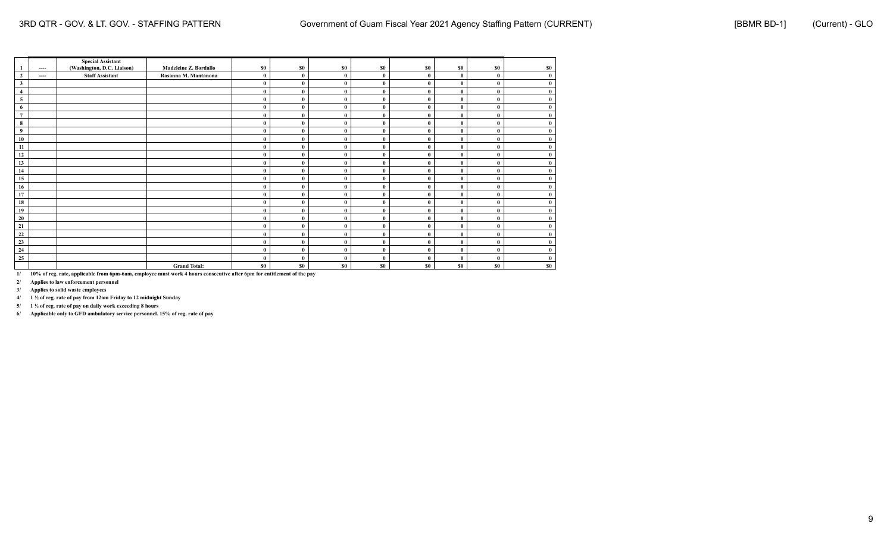|                         |      | <b>Special Assistant</b>   |                       |          |              |          |              |              |                  |              |     |
|-------------------------|------|----------------------------|-----------------------|----------|--------------|----------|--------------|--------------|------------------|--------------|-----|
| 1                       | ---- | (Washington, D.C. Liaison) | Madeleine Z. Bordallo | \$0      | \$0          | \$0      | \$0          | \$0          | \$0              | \$0          | \$0 |
| $\overline{2}$          | ---- | <b>Staff Assistant</b>     | Rosanna M. Mantanona  | $\bf{0}$ | $\mathbf{0}$ | $\bf{0}$ | $\mathbf{0}$ | $\theta$     | $\mathbf{0}$     | $\bf{0}$     |     |
| $\mathbf{3}$            |      |                            |                       | $\bf{0}$ | $\theta$     | $\bf{0}$ | ſ            | $\bf{0}$     | $\mathbf 0$      | $\bf{0}$     |     |
| $\overline{4}$          |      |                            |                       | $\bf{0}$ | $\theta$     | $\bf{0}$ | ſ            | 0            | $\mathbf{0}$     | $\mathbf{0}$ |     |
| $\overline{\mathbf{5}}$ |      |                            |                       | $\bf{0}$ | $\mathbf{0}$ | $\bf{0}$ | $\mathbf{0}$ | $\bf{0}$     | $\mathbf{0}$     | $\mathbf{0}$ |     |
| 6                       |      |                            |                       | $\bf{0}$ | $\mathbf{0}$ | $\bf{0}$ | $\mathbf{0}$ | $\mathbf{0}$ | $\theta$         | $\bf{0}$     |     |
| $\overline{7}$          |      |                            |                       | $\theta$ | $\theta$     | $\bf{0}$ | $\theta$     | $\theta$     | $\mathbf 0$      | $\mathbf{0}$ |     |
| 8                       |      |                            |                       | $\bf{0}$ | $\mathbf{0}$ | $\bf{0}$ | ſ            | $\mathbf{0}$ | $\mathbf 0$      | $\mathbf{0}$ |     |
| 9                       |      |                            |                       | $\bf{0}$ | $\mathbf{0}$ | $\theta$ | $\mathbf{0}$ | $\theta$     | $\theta$         | $\mathbf{0}$ |     |
| 10                      |      |                            |                       | $\bf{0}$ | $\mathbf{0}$ | $\bf{0}$ | $\mathbf{0}$ | $\bf{0}$     | $\boldsymbol{0}$ | $\bf{0}$     |     |
| 11                      |      |                            |                       | $\bf{0}$ | $\mathbf{0}$ | $\bf{0}$ | $\mathbf{0}$ | $\bf{0}$     | $\mathbf{0}$     | $\bf{0}$     |     |
| 12                      |      |                            |                       | $\bf{0}$ | $\theta$     | $\bf{0}$ | $\mathbf{0}$ | $\bf{0}$     | $\mathbf 0$      | $\bf{0}$     |     |
| 13                      |      |                            |                       | $\bf{0}$ | $\theta$     | $\bf{0}$ | O            | 0            | $\mathbf{0}$     | $\mathbf{0}$ |     |
| 14                      |      |                            |                       | $\bf{0}$ | $\mathbf{0}$ | $\bf{0}$ | $\mathbf{0}$ | $\bf{0}$     | $\mathbf{0}$     | $\bf{0}$     |     |
| 15                      |      |                            |                       | $\theta$ | $\mathbf{0}$ | $\bf{0}$ | $\mathbf{0}$ | $\mathbf{0}$ | $\mathbf{0}$     | $\bf{0}$     |     |
| 16                      |      |                            |                       | $\bf{0}$ | $\theta$     | $\bf{0}$ | $\theta$     | $\theta$     | $\theta$         | $\mathbf{0}$ |     |
| 17                      |      |                            |                       | $\bf{0}$ | $\theta$     | $\bf{0}$ |              | $\bf{0}$     | $\mathbf 0$      | $\theta$     |     |
| 18                      |      |                            |                       | $\bf{0}$ | $\mathbf{0}$ | $\theta$ | $\mathbf{0}$ | 0            | $\mathbf{0}$     | $\mathbf{0}$ |     |
| 19                      |      |                            |                       | $\bf{0}$ | $\mathbf{0}$ | $\bf{0}$ | $\mathbf{0}$ | $\mathbf{0}$ | $\boldsymbol{0}$ | $\bf{0}$     |     |
| 20                      |      |                            |                       | $\bf{0}$ | $\mathbf{0}$ | $\bf{0}$ | $\mathbf{0}$ | $\bf{0}$     | $\mathbf{0}$     | $\bf{0}$     |     |
| 21                      |      |                            |                       | $\bf{0}$ | $\theta$     | $\bf{0}$ | $\mathbf{0}$ |              | $\mathbf 0$      | $\theta$     |     |
| 22                      |      |                            |                       | $\bf{0}$ | $\theta$     | $\bf{0}$ | ſ            | $\theta$     | $\theta$         | $\theta$     |     |
| $\frac{23}{2}$          |      |                            |                       | $\bf{0}$ | $\mathbf{0}$ | $\bf{0}$ | $\mathbf{0}$ | $\bf{0}$     | $\mathbf{0}$     | $\mathbf{0}$ |     |
| 24                      |      |                            |                       | $\bf{0}$ | $\mathbf{0}$ | $\bf{0}$ | $\mathbf{0}$ | $\bf{0}$     | $\theta$         | $\bf{0}$     |     |
| $\overline{25}$         |      |                            |                       | $\theta$ | $\mathbf{0}$ | $\bf{0}$ | $\mathbf{0}$ | $\mathbf{0}$ | $\theta$         | $\mathbf{0}$ |     |
|                         |      |                            | <b>Grand Total:</b>   | \$0      | \$0          | \$0      | \$0          | \$0          | \$0              | \$0          | \$0 |

**2/ Applies to law enforcement personnel**

**3/ Applies to solid waste employees**

**4/ 1 ½ of reg. rate of pay from 12am Friday to 12 midnight Sunday**

**5/ 1 ½ of reg. rate of pay on daily work exceeding 8 hours**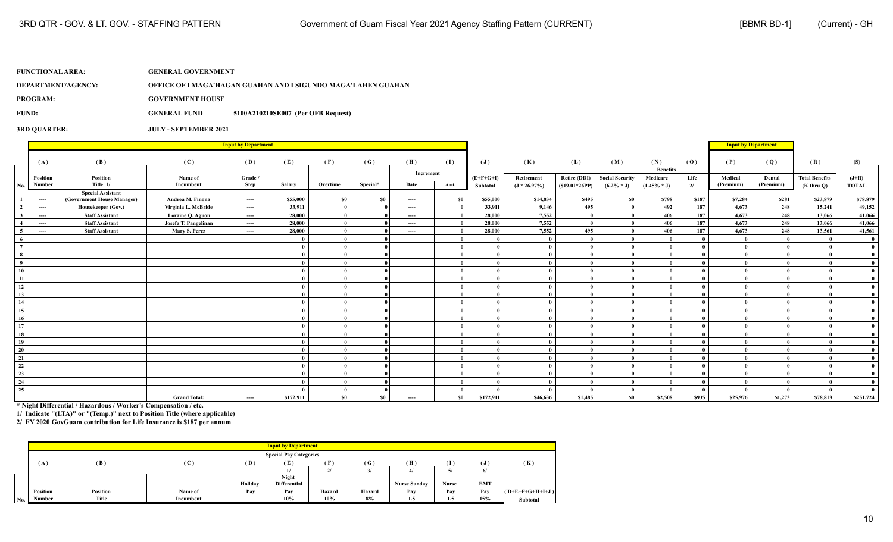## **FUNCTIONAL AREA: GENERAL GOVERNMENT DEPARTMENT/AGENCY: OFFICE OF I MAGA'HAGAN GUAHAN AND I SIGUNDO MAGA'LAHEN GUAHAN PROGRAM: GOVERNMENT HOUSE**

**FUND: GENERAL FUND 5100A210210SE007 (Per OFB Request)**

**3RD QUARTER: JULY - SEPTEMBER 2021**

|                 |          |                            |                      | <b>Input by Department</b> |           |              |          |           |                |                |                |                     |                        |                             |              |           | <b>Input by Department</b> |                       |              |
|-----------------|----------|----------------------------|----------------------|----------------------------|-----------|--------------|----------|-----------|----------------|----------------|----------------|---------------------|------------------------|-----------------------------|--------------|-----------|----------------------------|-----------------------|--------------|
|                 |          |                            |                      |                            |           |              |          |           |                |                |                |                     |                        |                             |              |           |                            |                       |              |
|                 | (A)      | (B)                        | (C)                  | (D)                        | (E)       | (F)          | (G)      | (H)       | (I)            | $(\mathbf{J})$ | (K)            | (L)                 | (M)                    | (N)                         | (0)          | (P)       | (Q)                        | (R)                   | (S)          |
|                 | Position | Position                   | Name of              | Grade /                    |           |              |          | Increment |                | $(E+F+G+I)$    | Retirement     | <b>Retire (DDI)</b> | <b>Social Security</b> | <b>Benefits</b><br>Medicare | Life         | Medical   | Dental                     | <b>Total Benefits</b> | $(J+R)$      |
| No.             | Number   | Title 1/                   | Incumbent            | Step                       | Salary    | Overtime     | Special* | Date      | Amt.           | Subtotal       | $(J * 26.97%)$ | $(S19.01*26PP)$     | $(6.2\% * J)$          | $(1.45\% * J)$              | 2/           | (Premium) | (Premium)                  | $(K$ thru $O$ )       | <b>TOTAL</b> |
|                 |          | <b>Special Assistant</b>   |                      |                            |           |              |          |           |                |                |                |                     |                        |                             |              |           |                            |                       |              |
| $\mathbf{1}$    | ----     | (Government House Manager) | Andrea M. Finona     | $\cdots$                   | \$55,000  | \$0          | \$0      | ----      | \$0            | \$55,000       | \$14,834       | \$495               | $\$0$                  | \$798                       | \$187        | \$7,284   | \$281                      | \$23,879              | \$78,879     |
| $\overline{2}$  | $\cdots$ | Housekeeper (Gov.)         | Virginia L. McBride  | ----                       | 33,911    | $\mathbf{0}$ |          | ----      | $\overline{ }$ | 33,911         | 9,146          | 495                 | $\mathbf{0}$           | 492                         | 187          | 4,673     | 248                        | 15,241                | 49,152       |
| 3 <sup>1</sup>  | ----     | <b>Staff Assistant</b>     | Loraine Q. Aguon     | ----                       | 28,000    | $\mathbf{0}$ |          | ----      | - 0            | 28,000         | 7,552          |                     | $\theta$               | 406                         | 187          | 4,673     | 248                        | 13,066                | 41,066       |
| $\overline{4}$  | ----     | <b>Staff Assistant</b>     | Josefa T. Pangelinan | ----                       | 28,000    | $\theta$     |          | ----      |                | 28,000         | 7,552          |                     | $\theta$               | 406                         | 187          | 4.673     | 248                        | 13,066                | 41,066       |
| $\overline{5}$  | $---$    | <b>Staff Assistant</b>     | Mary S. Perez        | $---$                      | 28,000    | $\theta$     |          | ----      |                | 28,000         | 7,552          | 495                 |                        | 406                         | 187          | 4,673     | 248                        | 13,561                | 41,561       |
| 6               |          |                            |                      |                            |           | $\theta$     |          |           |                |                | $\theta$       |                     | $\mathbf{0}$           |                             | $\theta$     |           | $\theta$                   | - 0                   | - 0          |
| $\frac{1}{7}$   |          |                            |                      |                            |           | $\theta$     |          |           | - 0            |                | $\theta$       |                     | $\theta$               |                             | $\theta$     |           |                            |                       | $\mathbf{0}$ |
| $\bf8$          |          |                            |                      |                            |           | $\theta$     |          |           | - 0            |                | $\mathbf{0}$   |                     | $\mathbf{0}$           |                             | $\theta$     |           |                            |                       | $\mathbf{0}$ |
| $\frac{1}{9}$   |          |                            |                      |                            |           | $\mathbf{a}$ |          |           |                |                | $\theta$       |                     | $\theta$               |                             |              |           |                            |                       | $\mathbf{0}$ |
| 10              |          |                            |                      |                            |           | $\mathbf{a}$ |          |           |                |                | $\theta$       |                     | $\mathbf{0}$           |                             | $\theta$     |           |                            |                       | $\mathbf{0}$ |
| -11             |          |                            |                      |                            |           | $\theta$     |          |           | - 0            |                | $\theta$       |                     | $\theta$               |                             | $\theta$     |           |                            |                       | $\mathbf{0}$ |
| 12              |          |                            |                      |                            |           | $\mathbf{0}$ |          |           | - 0            |                | $\mathbf{0}$   |                     | $\mathbf{0}$           |                             | $\theta$     |           |                            |                       |              |
| 13              |          |                            |                      |                            |           | $\theta$     |          |           | - 0            |                |                |                     | $\theta$               |                             |              |           |                            |                       | $\mathbf{0}$ |
| 14              |          |                            |                      |                            |           | $\mathbf{a}$ |          |           |                |                | $\theta$       |                     | $\mathbf{0}$           |                             | $\theta$     |           |                            |                       | $\mathbf{0}$ |
|                 |          |                            |                      |                            |           | $\theta$     |          |           | - 0            |                | $\theta$       |                     | $\theta$               |                             |              |           |                            |                       | $\mathbf{0}$ |
| $\frac{15}{16}$ |          |                            |                      |                            |           | $\theta$     |          |           | - 0            |                | $\mathbf{0}$   |                     | $\theta$               |                             | $\theta$     |           |                            |                       | $\mathbf{0}$ |
| 17              |          |                            |                      |                            |           | $\mathbf{a}$ |          |           |                |                | $\theta$       |                     | $\theta$               |                             |              |           |                            |                       | $\mathbf{0}$ |
| 18              |          |                            |                      |                            |           | $\mathbf{a}$ |          |           | - 0            |                | $\theta$       |                     | $\theta$               |                             | $\theta$     |           |                            |                       | $\mathbf{0}$ |
| 19              |          |                            |                      |                            |           | $\theta$     |          |           |                |                | $\theta$       |                     | $\theta$               |                             |              |           |                            |                       |              |
| $\overline{20}$ |          |                            |                      |                            |           | $\theta$     |          |           | $\overline{0}$ |                | $\theta$       |                     | $\theta$               |                             | $\theta$     |           |                            |                       |              |
| 21              |          |                            |                      |                            |           | $\theta$     |          |           | - 0            |                | $\theta$       |                     | $\theta$               |                             | $\theta$     |           |                            |                       | $\mathbf{0}$ |
| $\overline{22}$ |          |                            |                      |                            |           | $\mathbf{a}$ |          |           | - 0            |                | $\theta$       |                     | $\mathbf{0}$           |                             | $\mathbf{0}$ |           |                            |                       | $\mathbf{0}$ |
|                 |          |                            |                      |                            |           | $\mathbf{0}$ |          |           | - 0            |                | $\mathbf{0}$   |                     | $\theta$               |                             | $\theta$     |           |                            |                       | $\mathbf{0}$ |
| $\frac{23}{24}$ |          |                            |                      |                            |           | $\theta$     |          |           | $\overline{ }$ |                | $\theta$       |                     | $\theta$               |                             | $\theta$     |           |                            |                       | $\mathbf{0}$ |
| $\overline{25}$ |          |                            |                      |                            |           | $\mathbf{0}$ |          |           | - 0            |                |                |                     | $\theta$               |                             | $\theta$     |           |                            |                       | $\mathbf{0}$ |
|                 |          |                            | <b>Grand Total:</b>  | ----                       | \$172,911 | \$0          | \$0      | ----      | \$0            | \$172,911      | \$46,636       | \$1,485             | \$0                    | \$2,508                     | \$935        | \$25,976  | \$1,273                    | \$78,813              | \$251,724    |

**\* Night Differential / Hazardous / Worker's Compensation / etc.**

**1/ Indicate "(LTA)" or "(Temp.)" next to Position Title (where applicable)**

|                     |                 |          |           |         | <b>Input by Department</b>    |               |        |                     |       |            |                   |
|---------------------|-----------------|----------|-----------|---------|-------------------------------|---------------|--------|---------------------|-------|------------|-------------------|
|                     |                 |          |           |         | <b>Special Pay Categories</b> |               |        |                     |       |            |                   |
|                     | (A)             | (B)      | (C)       | (D)     | (E)                           | ſ F           | (G)    | (H)                 | Ŧ     |            | (K)               |
|                     |                 |          |           |         |                               | $\mathcal{L}$ |        |                     | Д,    |            |                   |
|                     |                 |          |           |         | Night                         |               |        |                     |       |            |                   |
|                     |                 |          |           | Holiday | Differential                  |               |        | <b>Nurse Sunday</b> | Nurse | <b>EMT</b> |                   |
|                     | <b>Position</b> | Position | Name of   | Pay     | Pay                           | Hazard        | Hazard | Pay                 | Pay   | Pav        | $(O+E+F+G+H+I+J)$ |
| $\vert$ No. $\vert$ | Number          | Title    | Incumbent |         | 10%                           | 10%           | 8%     | 1.5                 | 1.5   | 15%        | <b>Subtotal</b>   |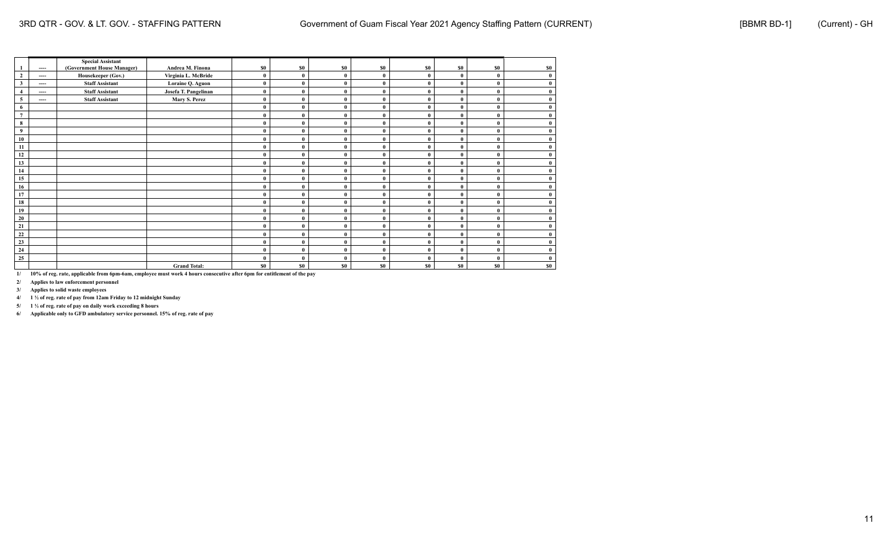|                |          | <b>Special Assistant</b>   |                      |          |              |              |              |          |              |              |     |
|----------------|----------|----------------------------|----------------------|----------|--------------|--------------|--------------|----------|--------------|--------------|-----|
|                | $\cdots$ | (Government House Manager) | Andrea M. Finona     | \$0      | \$0          | \$0          | \$0          | \$0      | \$0          | \$0          | \$0 |
| $\overline{2}$ | ----     | Housekeeper (Gov.)         | Virginia L. McBride  | $\bf{0}$ | $\mathbf{0}$ | $\theta$     | $\theta$     | $\theta$ | $\sqrt{ }$   | $\theta$     |     |
| $\mathbf{3}$   | $---$    | <b>Staff Assistant</b>     | Loraine Q. Aguon     | $\bf{0}$ | $\bf{0}$     | $\theta$     | $\theta$     | $\bf{0}$ | $\theta$     | $\theta$     |     |
| $\overline{4}$ | ----     | <b>Staff Assistant</b>     | Josefa T. Pangelinan | $\bf{0}$ | $\bf{0}$     | $\theta$     | 0            | $\theta$ |              | $\theta$     |     |
| 5              | ----     | <b>Staff Assistant</b>     | Mary S. Perez        | $\bf{0}$ | $\mathbf{0}$ | $\theta$     |              | $\bf{0}$ |              | $\theta$     |     |
| 6              |          |                            |                      | $\bf{0}$ | $\mathbf{0}$ | $\theta$     |              | $\theta$ |              | $\mathbf{0}$ |     |
| $\overline{7}$ |          |                            |                      | $\bf{0}$ | $\mathbf{0}$ | $\theta$     | $\theta$     | $\theta$ | $\theta$     | $\theta$     |     |
| 8              |          |                            |                      | $\bf{0}$ | $\theta$     |              |              | $\theta$ |              | ſ            |     |
| $\overline{9}$ |          |                            |                      | $\bf{0}$ | $\mathbf{0}$ | $\theta$     | $\theta$     | $\theta$ |              | $\theta$     |     |
| 10             |          |                            |                      | $\bf{0}$ | $\mathbf{0}$ | $\theta$     |              | $\bf{0}$ |              | $\theta$     |     |
| 11             |          |                            |                      | $\bf{0}$ | $\mathbf{0}$ | $\theta$     | $\theta$     | $\theta$ |              | $\theta$     |     |
| 12             |          |                            |                      | $\bf{0}$ | $\mathbf{0}$ | $\theta$     | $\mathbf{0}$ | $\theta$ | $\theta$     | $\theta$     |     |
| 13             |          |                            |                      | $\bf{0}$ | $\mathbf{0}$ | $\theta$     | $\theta$     | $\theta$ |              | $\theta$     |     |
| 14             |          |                            |                      | $\bf{0}$ | $\bf{0}$     | $\theta$     | $\theta$     | $\bf{0}$ |              | $\mathbf{0}$ |     |
| 15             |          |                            |                      | $\bf{0}$ | $\mathbf{0}$ | $\theta$     |              | $\bf{0}$ |              | $\theta$     |     |
| 16             |          |                            |                      | $\bf{0}$ | $\mathbf{0}$ | $\mathbf{0}$ | $\theta$     | $\theta$ | $\theta$     | $\theta$     |     |
| 17             |          |                            |                      | $\bf{0}$ | $\mathbf{0}$ | $\theta$     | $\theta$     | $\theta$ |              | $\theta$     |     |
| 18             |          |                            |                      | $\bf{0}$ | $\mathbf{0}$ | $\theta$     | $\theta$     | $\theta$ |              | $\theta$     |     |
| 19             |          |                            |                      | $\bf{0}$ | $\bf{0}$     | $\theta$     |              | $\bf{0}$ |              | $\theta$     |     |
| 20             |          |                            |                      | $\bf{0}$ | $\mathbf{0}$ | $\theta$     |              | $\theta$ |              | $\theta$     |     |
| 21             |          |                            |                      | $\bf{0}$ | $\mathbf{0}$ | $\mathbf{0}$ | $\theta$     | $\theta$ | $\theta$     | $\theta$     |     |
| 22             |          |                            |                      | $\bf{0}$ | $\mathbf{0}$ | $\theta$     | $\theta$     | $\theta$ | $\theta$     | $\theta$     |     |
| 23             |          |                            |                      | $\bf{0}$ | $\mathbf{0}$ | $\theta$     | O            | $\theta$ |              | $\mathbf{0}$ |     |
| 24             |          |                            |                      | $\bf{0}$ | $\bf{0}$     | $\theta$     |              | $\bf{0}$ | $\mathbf{0}$ | $\mathbf{0}$ |     |
| 25             |          |                            |                      | $\bf{0}$ | $\mathbf{0}$ | $\theta$     | $\theta$     | $\theta$ | $\mathbf{0}$ | $\theta$     |     |
|                |          |                            | <b>Grand Total:</b>  | \$0      | \$0          | \$0          | <b>SO</b>    | \$0      | \$0          | \$0          | \$0 |

**2/ Applies to law enforcement personnel**

**3/ Applies to solid waste employees**

**4/ 1 ½ of reg. rate of pay from 12am Friday to 12 midnight Sunday**

**5/ 1 ½ of reg. rate of pay on daily work exceeding 8 hours**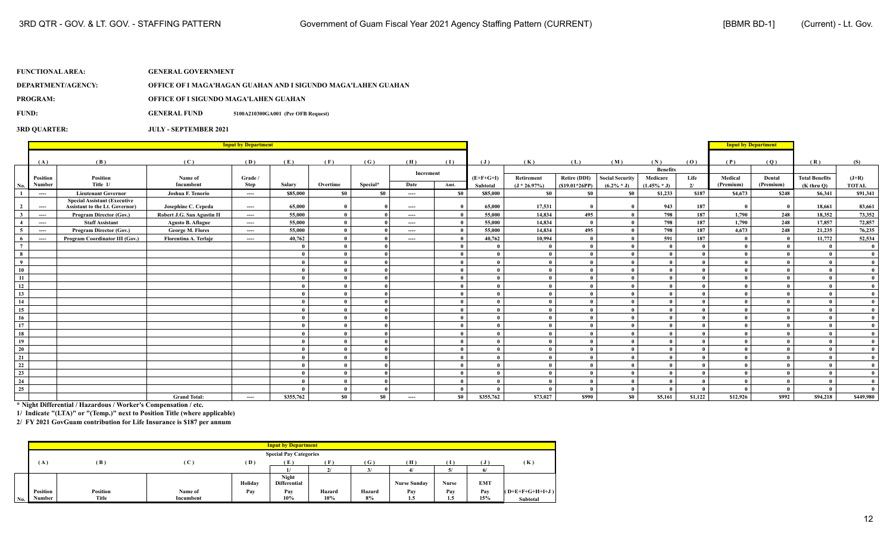**DEPARTMENT/AGENCY: OFFICE OF I MAGA'HAGAN GUAHAN AND I SIGUNDO MAGA'LAHEN GUAHAN**

**PROGRAM: OFFICE OF I SIGUNDO MAGA'LAHEN GUAHAN**

**FUND: GENERAL FUND 5100A210300GA001 (Per OFB Request)**

### **3RD QUARTER: JULY - SEPTEMBER 2021**

|                         |          |                                                                              |                            | <b>Input by Department</b>               |           |                            |          |                          |              |             |                 |                 |                        |                 |              | <b>Input by Department</b> |           |                       |              |
|-------------------------|----------|------------------------------------------------------------------------------|----------------------------|------------------------------------------|-----------|----------------------------|----------|--------------------------|--------------|-------------|-----------------|-----------------|------------------------|-----------------|--------------|----------------------------|-----------|-----------------------|--------------|
|                         | (A)      | (B)                                                                          | (C)                        | (D)                                      | (E)       | (F)                        | (G)      | (H)                      | (1)          | (J)         | (K)             | (L)             | (M)                    | (N)             | (0)          | (P)                        | (Q)       | (R)                   | (S)          |
|                         |          |                                                                              |                            |                                          |           |                            |          |                          |              |             |                 |                 |                        | <b>Benefits</b> |              |                            |           |                       |              |
|                         | Position | Position                                                                     | Name of                    | Grade /                                  |           |                            |          | Increment                |              | $(E+F+G+I)$ | Retirement      | Retire (DDI)    | <b>Social Security</b> | Medicare        | Life         | Medical                    | Dental    | <b>Total Benefits</b> | $(J+R)$      |
| No.                     | Number   | Title 1/                                                                     | Incumbent                  | <b>Step</b>                              | Salary    | Overtime                   | Special* | Date                     | Amt.         | Subtotal    | $(J * 26.97\%)$ | $(S19.01*26PP)$ | $(6.2\% * J)$          | $(1.45\% * J)$  | 2l           | (Premium)                  | (Premium) | $(K$ thru $Q$ )       | <b>TOTAL</b> |
|                         | ----     | <b>Lieutenant Governor</b>                                                   | Joshua F. Tenorio          | $\cdots$                                 | \$85,000  | $\boldsymbol{\mathbf{S0}}$ | \$0      | $\hspace{0.05cm} \ldots$ | \$0          | \$85,000    | \$0             | <b>SO</b>       | \$0                    | \$1,233         | \$187        | \$4,673                    | \$248     | \$6,341               | \$91,341     |
| $\overline{2}$          | $\cdots$ | <b>Special Assistant (Executive</b><br><b>Assistant to the Lt. Governor)</b> | Josephine C. Cepeda        | $---$                                    | 65,000    | $\mathbf{0}$               |          | $\cdots$                 | $\theta$     | 65,000      | 17.531          |                 |                        | 943             | 187          |                            |           | 18.661                | 83,661       |
| $\overline{\mathbf{3}}$ | $\cdots$ | Program Director (Gov.)                                                      | Robert J.G. San Agustin II | $---$                                    | 55,000    | $\mathbf{0}$               |          | $---$                    | $\theta$     | 55,000      | 14,834          | 495             |                        | 798             | 187          | 1,790                      | 248       | 18,352                | 73,352       |
|                         | $\cdots$ | <b>Staff Assistant</b>                                                       | <b>Agusto B. Aflague</b>   | $\cdots$                                 | 55,000    | $\bf{0}$                   |          | $\cdots$                 | $\theta$     | 55,000      | 14,834          | $\mathbf{a}$    |                        | 798             | 187          | 1,790                      | 248       | 17,857                | 72,857       |
| $\sim$                  | $\cdots$ | Program Director (Gov.)                                                      | George M. Flores           | $\cdots$                                 | 55,000    | $\mathbf{0}$               |          | $\cdots$                 | $\theta$     | 55,000      | 14,834          | 495             |                        | 798             | 187          | 4,673                      | 248       | 21,235                | 76,235       |
| - 6                     | $\cdots$ | Program Coordinator III (Gov.)                                               | Florentina A. Terlaje      | $\hspace{0.05cm} \ldots \hspace{0.05cm}$ | 40,762    | $\mathbf{0}$               |          | $---$                    | $\theta$     | 40,762      | 10,994          | $\theta$        |                        | 591             | 187          | $\mathbf{0}$               |           | 11,772                | 52,534       |
| $7^{\circ}$             |          |                                                                              |                            |                                          |           | $\mathbf{0}$               |          |                          | $\theta$     |             |                 | $\mathbf{0}$    |                        |                 | $\theta$     |                            |           | $\theta$              |              |
| 8                       |          |                                                                              |                            |                                          |           | $\mathbf{0}$               |          |                          | $\theta$     |             |                 | $\mathbf{0}$    |                        |                 | $\mathbf{0}$ |                            |           |                       | $\theta$     |
| $\overline{9}$          |          |                                                                              |                            |                                          |           | $\mathbf{0}$               |          |                          | $\theta$     |             | $\theta$        | $\mathbf{a}$    |                        |                 | $\theta$     |                            |           | - 0                   | $\theta$     |
| 10                      |          |                                                                              |                            |                                          |           | $\mathbf{0}$               |          |                          | $\theta$     |             |                 | $\mathbf{a}$    |                        |                 | $\mathbf{a}$ |                            |           |                       | $\theta$     |
| 11                      |          |                                                                              |                            |                                          |           | $\mathbf{0}$               |          |                          | $\theta$     |             |                 | $\mathbf{0}$    |                        |                 | $\theta$     |                            |           |                       | $\theta$     |
| 12                      |          |                                                                              |                            |                                          |           | $\bf{0}$                   |          |                          | $\theta$     |             |                 | $\mathbf{0}$    |                        |                 | $\mathbf{a}$ |                            |           |                       | $\theta$     |
| 13                      |          |                                                                              |                            |                                          |           | $\mathbf{0}$               |          |                          | $\theta$     |             |                 | $\theta$        |                        |                 |              |                            |           |                       |              |
| 14                      |          |                                                                              |                            |                                          |           | $\bf{0}$                   |          |                          | $\theta$     |             |                 | $\mathbf{u}$    |                        |                 |              |                            |           |                       |              |
| 15                      |          |                                                                              |                            |                                          |           | $\mathbf{0}$               |          |                          | $\theta$     |             |                 | $\mathbf{0}$    |                        |                 |              |                            |           |                       |              |
| 16                      |          |                                                                              |                            |                                          |           | $\mathbf{0}$               |          |                          | $\theta$     |             |                 | $\mathbf{u}$    |                        |                 |              |                            |           |                       |              |
| 17                      |          |                                                                              |                            |                                          |           | $\mathbf{0}$               |          |                          |              |             |                 | $\theta$        |                        |                 |              |                            |           |                       |              |
| 18                      |          |                                                                              |                            |                                          |           | $\mathbf{0}$               |          |                          | $\theta$     |             |                 | $\mathbf{a}$    |                        |                 | $\mathbf{a}$ |                            |           |                       |              |
| 19                      |          |                                                                              |                            |                                          |           | $\mathbf{0}$               |          |                          | - 0          |             |                 | 0               |                        |                 |              |                            |           |                       |              |
| 20                      |          |                                                                              |                            |                                          |           | $\theta$                   |          |                          | $\theta$     |             |                 |                 |                        |                 |              |                            |           |                       |              |
| 21                      |          |                                                                              |                            |                                          |           | $\mathbf{0}$               |          |                          |              |             |                 | 0               |                        |                 |              |                            |           |                       |              |
| 22                      |          |                                                                              |                            |                                          |           | $\theta$                   |          |                          | $\theta$     |             |                 | $\mathbf{u}$    |                        |                 | $\mathbf{a}$ |                            |           |                       |              |
| 23                      |          |                                                                              |                            |                                          |           | $\bf{0}$                   |          |                          | $\mathbf{0}$ |             |                 | $\mathbf{0}$    |                        |                 | $\mathbf{0}$ |                            |           | - 0                   | $\theta$     |
| 24                      |          |                                                                              |                            |                                          |           | $\mathbf{0}$               |          |                          | $\mathbf{0}$ |             |                 | $\mathbf{0}$    |                        |                 | $\mathbf{a}$ |                            |           | $\theta$              | $\theta$     |
| 25                      |          |                                                                              |                            |                                          |           | $\bf{0}$                   |          |                          | $\mathbf{0}$ |             |                 | $\mathbf{0}$    |                        |                 | $\mathbf{a}$ |                            |           | $\mathbf{a}$          |              |
|                         |          |                                                                              | <b>Grand Total:</b>        | $\hspace{0.05cm} \ldots \hspace{0.05cm}$ | \$355,762 | \$0                        | \$0      | $\cdots$                 | \$0          | \$355,762   | \$73,027        | \$990           | S <sub>0</sub>         | \$5,161         | \$1,122      | \$12,926                   | \$992     | \$94,218              | \$449,980    |

**\* Night Differential / Hazardous / Worker's Compensation / etc.**

**1/ Indicate "(LTA)" or "(Temp.)" next to Position Title (where applicable)**

|     |          |                 |           |         | <b>Input by Department</b>    |        |        |                     |       |            |                   |
|-----|----------|-----------------|-----------|---------|-------------------------------|--------|--------|---------------------|-------|------------|-------------------|
|     |          |                 |           |         | <b>Special Pay Categories</b> |        |        |                     |       |            |                   |
|     | (A)      | (B)             | (C)       | (D)     | Έ                             |        | (G)    | (H)                 |       |            | (K)               |
|     |          |                 |           |         |                               |        | 21     |                     |       |            |                   |
|     |          |                 |           |         | Night                         |        |        |                     |       |            |                   |
|     |          |                 |           | Holiday | <b>Differential</b>           |        |        | <b>Nurse Sunday</b> | Nurse | <b>EMT</b> |                   |
|     | Position | <b>Position</b> | Name of   | Pay     | Pay                           | Hazard | Hazard | Pav                 | Pay   | Pav        | $(O+E+F+G+H+I+J)$ |
| No. | Number   | Title           | Incumbent |         | 10%                           | 10%    | 8%     | 1.5                 | 1.5   | 15%        | Subtotal          |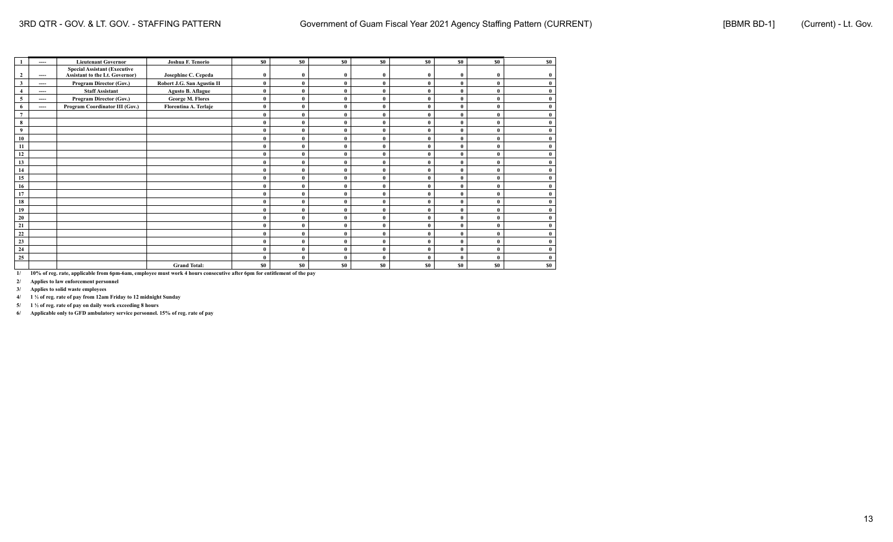|                         | ---- | <b>Lieutenant Governor</b>          | Joshua F. Tenorio          | \$0              | \$0          | \$0          | \$0          | \$0            | \$0          | \$0       | \$0 |
|-------------------------|------|-------------------------------------|----------------------------|------------------|--------------|--------------|--------------|----------------|--------------|-----------|-----|
|                         |      | <b>Special Assistant (Executive</b> |                            |                  |              |              |              |                |              |           |     |
| $\overline{2}$          | ---- | Assistant to the Lt. Governor)      | Josephine C. Cepeda        | $\bf{0}$         | $\mathbf{0}$ | $\mathbf{0}$ | $\mathbf{0}$ | $\mathbf 0$    | $\mathbf{0}$ | $\bf{0}$  |     |
| $\overline{\mathbf{3}}$ | ---- | Program Director (Gov.)             | Robert J.G. San Agustin II | $\theta$         | $\theta$     | $\theta$     |              |                | $\theta$     | $\theta$  |     |
| $\overline{4}$          | ---- | <b>Staff Assistant</b>              | <b>Agusto B. Aflague</b>   | $\bf{0}$         |              |              |              |                | $\theta$     | $\theta$  |     |
| 5                       | ---- | Program Director (Gov.)             | <b>George M. Flores</b>    | $\theta$         | $\Omega$     | $\theta$     | $\theta$     |                | $\theta$     | $\theta$  |     |
| 6                       | ---- | Program Coordinator III (Gov.)      | Florentina A. Terlaje      | $\bf{0}$         | $\theta$     |              |              |                | $\theta$     | $\theta$  |     |
| $7\phantom{.0}$         |      |                                     |                            | $\theta$         | $\theta$     | $\theta$     | $\theta$     | $\theta$       | $\theta$     | $\theta$  |     |
| 8                       |      |                                     |                            | $\mathbf{0}$     | $\Omega$     |              |              |                | $\theta$     | $\theta$  |     |
| 9                       |      |                                     |                            | $\mathbf{0}$     |              |              |              |                | $\mathbf 0$  | $\theta$  |     |
| 10                      |      |                                     |                            | $\theta$         | $\theta$     |              |              |                | $\theta$     | $\theta$  |     |
| 11                      |      |                                     |                            | $\theta$         | $\theta$     |              |              |                | $\theta$     | $\theta$  |     |
| 12                      |      |                                     |                            | $\theta$         | $\Omega$     |              | $\Omega$     |                | $\theta$     | $\theta$  |     |
| 13                      |      |                                     |                            | $\mathbf{0}$     | $\Omega$     |              |              |                | $\theta$     | $\theta$  |     |
| 14                      |      |                                     |                            | $\mathbf{0}$     |              |              |              |                | $\theta$     | $\theta$  |     |
| 15                      |      |                                     |                            | $\theta$         | $\Omega$     |              |              |                | $\theta$     | $\theta$  |     |
| 16                      |      |                                     |                            | $\theta$         | $\theta$     |              |              |                | $\mathbf 0$  | $\theta$  |     |
| 17                      |      |                                     |                            | $\mathbf 0$      | $\theta$     |              | $\mathbf{0}$ |                | $\theta$     | $\theta$  |     |
| 18                      |      |                                     |                            | $\mathbf{0}$     | $\theta$     |              |              |                | $\theta$     | $\theta$  |     |
| 19                      |      |                                     |                            | $\mathbf{0}$     |              |              |              |                | $\theta$     | $\bf{0}$  |     |
| 20                      |      |                                     |                            | $\theta$         | $\theta$     | $\theta$     | $\theta$     |                | $\theta$     | $\theta$  |     |
| 21                      |      |                                     |                            | $\mathbf 0$      | $\theta$     |              |              |                | $\theta$     | $\theta$  |     |
| 22                      |      |                                     |                            | $\theta$         | $\theta$     | $\theta$     | $\theta$     | $\theta$       | $\theta$     | $\theta$  |     |
| 23                      |      |                                     |                            | $\boldsymbol{0}$ | $\Omega$     |              |              |                | $\theta$     | $\bf{0}$  |     |
| 24                      |      |                                     |                            | $\bf{0}$         |              | $\theta$     |              |                | $\theta$     | $\bf{0}$  |     |
| 25                      |      |                                     |                            | $\mathbf{0}$     | $\Omega$     |              | O            |                | $\theta$     | $\theta$  |     |
|                         |      |                                     | <b>Grand Total:</b>        | \$0              | \$0\$        | \$0          | <b>SO</b>    | S <sub>0</sub> | \$0          | <b>SO</b> | \$0 |

**2/ Applies to law enforcement personnel**

**3/ Applies to solid waste employees**

**4/ 1 ½ of reg. rate of pay from 12am Friday to 12 midnight Sunday**

**5/ 1 ½ of reg. rate of pay on daily work exceeding 8 hours**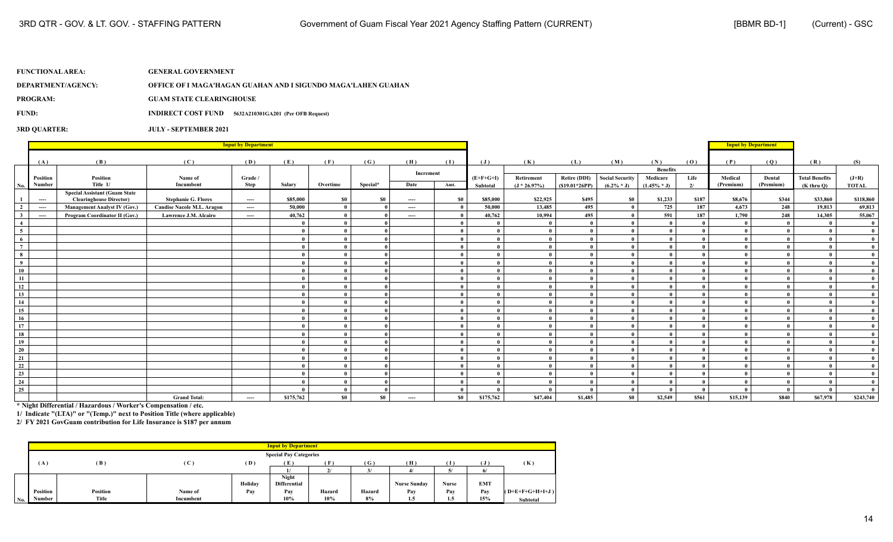**DEPARTMENT/AGENCY: OFFICE OF I MAGA'HAGAN GUAHAN AND I SIGUNDO MAGA'LAHEN GUAHAN**

**PROGRAM: GUAM STATE CLEARINGHOUSE**

**FUND: INDIRECT COST FUND 5632A210301GA201 (Per OFB Request)**

### **3RD QUARTER: JULY - SEPTEMBER 2021**

|                          |                    |                                      |                                   | <b>Input by Department</b> |           |              |          |                   |              |                         |                              |                                        |                                         |                                               |            | <b>Input by Department</b> |                     |                                          |                         |
|--------------------------|--------------------|--------------------------------------|-----------------------------------|----------------------------|-----------|--------------|----------|-------------------|--------------|-------------------------|------------------------------|----------------------------------------|-----------------------------------------|-----------------------------------------------|------------|----------------------------|---------------------|------------------------------------------|-------------------------|
|                          |                    |                                      |                                   |                            |           |              |          |                   |              |                         |                              |                                        |                                         |                                               |            |                            |                     |                                          |                         |
|                          | (A)                | (B)                                  | (C)                               | (D)                        | (E)       | (F)          | (G)      | (H)               | (I)          | $(\mathbf{J})$          | (K)                          | (L)                                    | (M)                                     | (N)                                           | (0)        | (P)                        | (Q)                 | (R)                                      | (S)                     |
| No.                      | Position<br>Number | Position<br>Title 1/                 | Name of<br>Incumbent              | Grade /<br>Step            | Salary    | Overtime     | Special* | Increment<br>Date | Amt.         | $(E+F+G+I)$<br>Subtotal | Retirement<br>$(J * 26.97%)$ | <b>Retire (DDI)</b><br>$(S19.01*26PP)$ | <b>Social Security</b><br>$(6.2\% * J)$ | <b>Benefits</b><br>Medicare<br>$(1.45\% * J)$ | Life<br>2/ | Medical<br>(Premium)       | Dental<br>(Premium) | <b>Total Benefits</b><br>$(K$ thru $O$ ) | $(J+R)$<br><b>TOTAL</b> |
|                          |                    | <b>Special Assistant (Guam State</b> |                                   |                            |           |              |          |                   |              |                         |                              |                                        |                                         |                                               |            |                            |                     |                                          |                         |
| $\mathbf{1}$             | $\cdots$           | <b>Clearinghouse Director)</b>       | <b>Stephanie G. Flores</b>        | $---$                      | \$85,000  | <b>\$0</b>   | - \$0    | $---$             | \$0          | \$85,000                | \$22,925                     | \$495                                  | \$0                                     | \$1,233                                       | \$187      | \$8,676                    | \$344               | \$33,860                                 | \$118,860               |
| $\overline{2}$           | $\cdots$           | <b>Management Analyst IV (Gov.)</b>  | <b>Candise Nacole M.L. Aragon</b> | $---$                      | 50,000    | $\theta$     |          | $\cdots$          | $\mathbf{0}$ | 50,000                  | 13,485                       | 495                                    |                                         | 725                                           | 187        | 4,673                      | 248                 | 19,813                                   | 69,813                  |
| $\mathbf{3}$             | $-\!-\!$           | Program Coordinator II (Gov.)        | <b>Lawrence J.M. Alcairo</b>      | $---$                      | 40,762    | $\mathbf{0}$ |          | $\cdots$          | $\theta$     | 40,762                  | 10,994                       | 495                                    |                                         | 591                                           | 187        | 1,790                      | 248                 | 14.305                                   | 55,067                  |
| $\overline{4}$           |                    |                                      |                                   |                            |           | $\theta$     |          |                   | - 0          |                         | $\mathbf{0}$                 |                                        |                                         |                                               |            |                            |                     |                                          | $\mathbf{0}$            |
| $\overline{\phantom{0}}$ |                    |                                      |                                   |                            |           | $\theta$     |          |                   | $\theta$     |                         | $\theta$                     |                                        |                                         |                                               |            |                            |                     |                                          | $\mathbf{0}$            |
| 6                        |                    |                                      |                                   |                            |           | $\theta$     |          |                   | $\theta$     |                         | $\mathbf{0}$                 |                                        |                                         |                                               |            |                            |                     | - 0                                      | $\mathbf{0}$            |
| $7^{\circ}$              |                    |                                      |                                   |                            |           | $\theta$     |          |                   | $\theta$     |                         | $\mathbf{0}$                 |                                        |                                         |                                               | $\theta$   |                            |                     | $\mathbf{a}$                             | $\mathbf{0}$            |
| 8                        |                    |                                      |                                   |                            |           | $\theta$     |          |                   | $\mathbf{0}$ |                         | $\mathbf{0}$                 |                                        |                                         |                                               | $\theta$   |                            |                     | - 0                                      | $\mathbf{0}$            |
| 9                        |                    |                                      |                                   |                            |           | $\theta$     |          |                   | $\mathbf{0}$ |                         | $\mathbf{0}$                 |                                        |                                         |                                               | $\theta$   |                            |                     | $\theta$                                 | $\mathbf{0}$            |
| 10                       |                    |                                      |                                   |                            |           | $\theta$     |          |                   | $\mathbf{0}$ |                         | $\theta$                     |                                        |                                         |                                               | $\theta$   |                            |                     | $\theta$                                 | $\mathbf{0}$            |
| - 11                     |                    |                                      |                                   |                            |           | $\theta$     |          |                   | $\theta$     |                         | $\mathbf{0}$                 |                                        |                                         |                                               | $\theta$   |                            |                     | $\mathbf{a}$                             | $\mathbf{0}$            |
| 12                       |                    |                                      |                                   |                            |           | $\theta$     |          |                   | $\mathbf{0}$ |                         | $\bf{0}$                     |                                        |                                         |                                               |            |                            |                     |                                          | $\mathbf{0}$            |
| 13                       |                    |                                      |                                   |                            |           | $\theta$     |          |                   | $\theta$     |                         | $\mathbf{0}$                 |                                        |                                         |                                               |            |                            |                     |                                          | $\mathbf{0}$            |
| 14                       |                    |                                      |                                   |                            |           | $\theta$     |          |                   | $\mathbf{0}$ |                         | $\mathbf{0}$                 |                                        |                                         |                                               | - 0        |                            |                     | - 0                                      | $\mathbf{0}$            |
| 15                       |                    |                                      |                                   |                            |           | $\theta$     |          |                   | $\theta$     |                         | $\theta$                     |                                        |                                         |                                               | $\theta$   |                            |                     | $\mathbf{a}$                             | $\mathbf{0}$            |
| 16                       |                    |                                      |                                   |                            |           | $\theta$     |          |                   | $\bf{0}$     |                         | $\mathbf{0}$                 |                                        |                                         | - 0                                           | $\theta$   |                            |                     | $\theta$                                 | $\mathbf{0}$            |
| 17                       |                    |                                      |                                   |                            |           | $\theta$     |          |                   | $\mathbf{0}$ |                         | $\theta$                     |                                        |                                         |                                               | $\theta$   |                            |                     | $\mathbf{a}$                             | $\mathbf{0}$            |
| 18                       |                    |                                      |                                   |                            |           | $\theta$     |          |                   | $\bf{0}$     |                         | $\mathbf{0}$                 |                                        |                                         |                                               | $\theta$   |                            |                     | - 0                                      | $\mathbf{0}$            |
| 19                       |                    |                                      |                                   |                            |           | $\theta$     |          |                   | $\mathbf{0}$ |                         | $\mathbf{0}$                 |                                        |                                         |                                               | $\theta$   |                            |                     | - 0                                      | $\mathbf{0}$            |
| 20                       |                    |                                      |                                   |                            |           | $\theta$     |          |                   | $\mathbf{0}$ |                         | $\bf{0}$                     |                                        |                                         |                                               |            |                            |                     |                                          | $\mathbf{0}$            |
| 21                       |                    |                                      |                                   |                            |           | $\theta$     |          |                   | $\mathbf{0}$ |                         | $\mathbf{0}$                 |                                        |                                         |                                               |            |                            |                     |                                          | $\mathbf{0}$            |
| 22                       |                    |                                      |                                   |                            |           | $\theta$     |          |                   | $\theta$     |                         | $\mathbf{0}$                 |                                        |                                         |                                               | $\theta$   |                            |                     | $\mathbf{a}$                             | $\mathbf{0}$            |
| 23                       |                    |                                      |                                   |                            |           | $\theta$     |          |                   | $\mathbf{0}$ |                         | $\mathbf{0}$                 |                                        |                                         |                                               |            |                            |                     | - 0                                      | $\mathbf{0}$            |
| 24                       |                    |                                      |                                   |                            |           | $\mathbf{0}$ |          |                   | $\mathbf{0}$ |                         | $\mathbf{0}$                 |                                        |                                         | - 0                                           | $\theta$   |                            |                     | - 0                                      | $\mathbf{0}$            |
| 25                       |                    |                                      |                                   |                            |           | $\theta$     |          |                   | $\theta$     |                         |                              |                                        |                                         |                                               | $\theta$   |                            |                     | $\theta$                                 | $\mathbf{0}$            |
|                          |                    |                                      | <b>Grand Total:</b>               | $---$                      | \$175,762 | \$0          | \$0      | $---$             | \$0          | \$175,762               | \$47,404                     | \$1,485                                | S <sub>0</sub>                          | \$2,549                                       | \$561      | \$15,139                   | \$840               | \$67,978                                 | \$243,740               |

**\* Night Differential / Hazardous / Worker's Compensation / etc.**

**1/ Indicate "(LTA)" or "(Temp.)" next to Position Title (where applicable)**

|     |          |          |                |         | <b>Input by Department</b>          |                |              |                     |       |            |                   |
|-----|----------|----------|----------------|---------|-------------------------------------|----------------|--------------|---------------------|-------|------------|-------------------|
|     |          |          |                |         | <b>Special Pay Categories</b>       |                |              |                     |       |            |                   |
|     | (A)      | (B)      | $(\mathbf{C})$ | (D)     | (E)                                 | Ŧ              | $\mathbf{G}$ | (H)                 | T     |            | (K)               |
|     |          |          |                |         |                                     | 2 <sup>1</sup> | 3/           |                     |       |            |                   |
|     |          |          |                | Holiday | <b>Night</b><br><b>Differential</b> |                |              | <b>Nurse Sunday</b> | Nurse | <b>EMT</b> |                   |
|     | Position | Position | Name of        | Pay     | Pay                                 | Hazard         | Hazard       | Pav                 | Pay   | Pay        | $(O+E+F+G+H+I+J)$ |
| No. | Number   | Title    | Incumbent      |         | 10%                                 | 10%            | 8%           | 1.5                 | 1.5   | 15%        | Subtotal          |